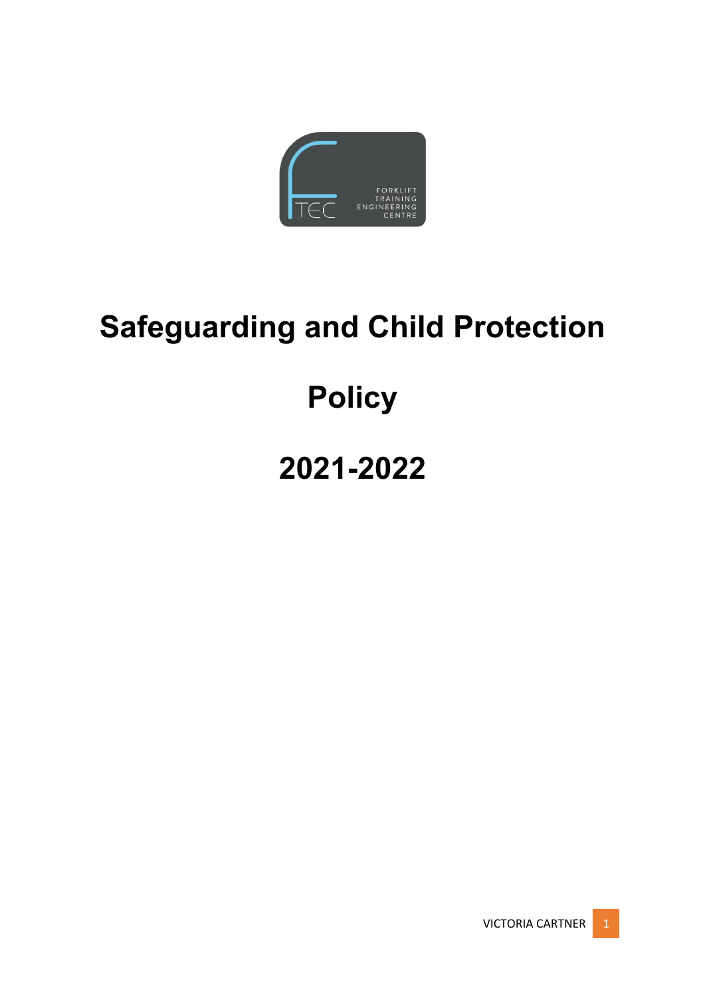

# **Safeguarding and Child Protection**

# **Policy**

# **2021-2022**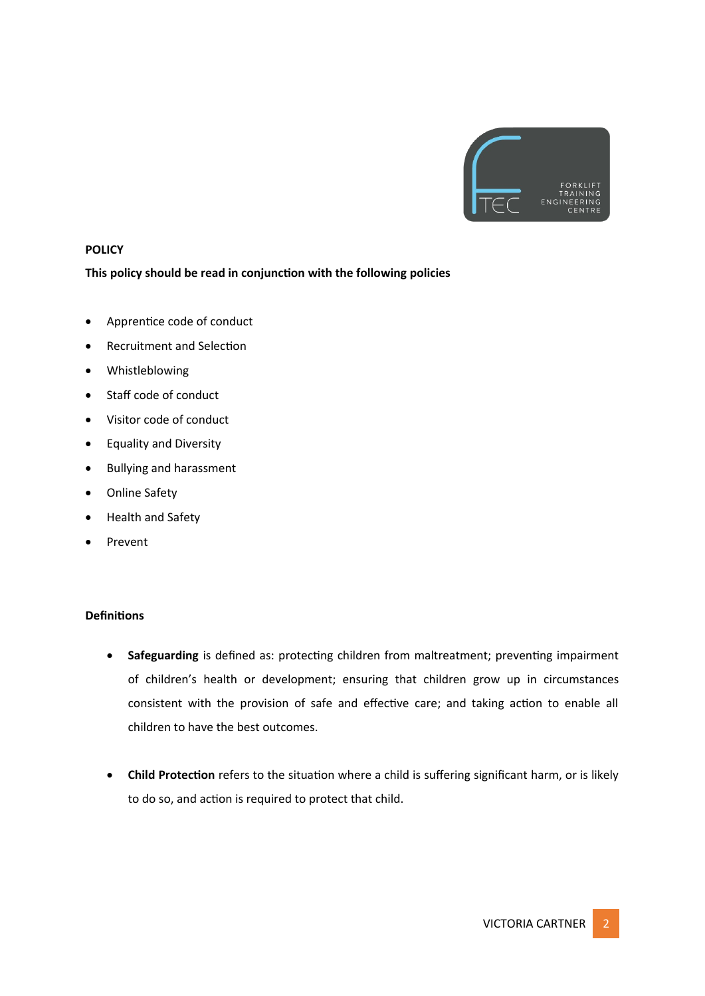

#### **POLICY**

#### **This policy should be read in conjunction with the following policies**

- Apprentice code of conduct
- Recruitment and Selection
- Whistleblowing
- Staff code of conduct
- Visitor code of conduct
- **•** Equality and Diversity
- Bullying and harassment
- Online Safety
- Health and Safety
- Prevent

#### **Definitions**

- **Safeguarding** is defined as: protecting children from maltreatment; preventing impairment of children's health or development; ensuring that children grow up in circumstances consistent with the provision of safe and effective care; and taking action to enable all children to have the best outcomes.
- **Child Protection** refers to the situation where a child is suffering significant harm, or is likely to do so, and action is required to protect that child.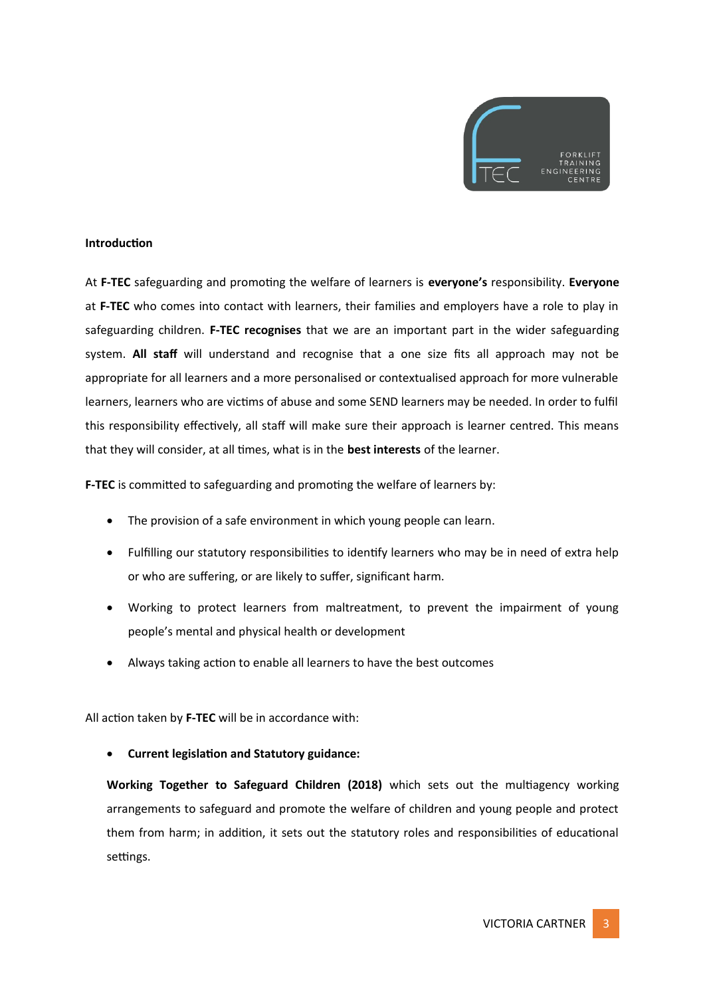

#### **Introduction**

At **F-TEC** safeguarding and promoting the welfare of learners is **everyone's** responsibility. **Everyone** at **F-TEC** who comes into contact with learners, their families and employers have a role to play in safeguarding children. **F-TEC recognises** that we are an important part in the wider safeguarding system. **All staff** will understand and recognise that a one size fits all approach may not be appropriate for all learners and a more personalised or contextualised approach for more vulnerable learners, learners who are victims of abuse and some SEND learners may be needed. In order to fulfil this responsibility effectively, all staff will make sure their approach is learner centred. This means that they will consider, at all times, what is in the **best interests** of the learner.

**F-TEC** is committed to safeguarding and promoting the welfare of learners by:

- The provision of a safe environment in which young people can learn.
- Fulfilling our statutory responsibilities to identify learners who may be in need of extra help or who are suffering, or are likely to suffer, significant harm.
- Working to protect learners from maltreatment, to prevent the impairment of young people's mental and physical health or development
- Always taking action to enable all learners to have the best outcomes

All action taken by **F-TEC** will be in accordance with:

**Current legislation and Statutory guidance:**

**Working Together to Safeguard Children (2018)** which sets out the multiagency working arrangements to safeguard and promote the welfare of children and young people and protect them from harm; in addition, it sets out the statutory roles and responsibilities of educational settings.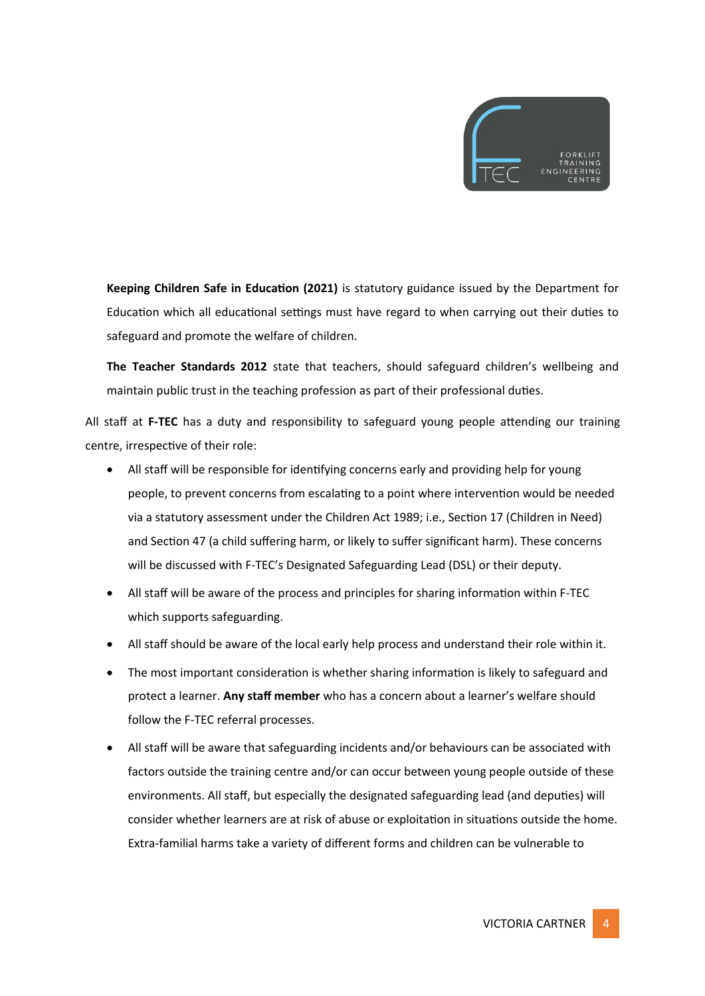

**Keeping Children Safe in Education (2021)** is statutory guidance issued by the Department for Education which all educational settings must have regard to when carrying out their duties to safeguard and promote the welfare of children.

**The Teacher Standards 2012** state that teachers, should safeguard children's wellbeing and maintain public trust in the teaching profession as part of their professional duties.

All staff at **F-TEC** has a duty and responsibility to safeguard young people attending our training centre, irrespective of their role:

- All staff will be responsible for identifying concerns early and providing help for young people, to prevent concerns from escalating to a point where intervention would be needed via a statutory assessment under the Children Act 1989; i.e., Section 17 (Children in Need) and Section 47 (a child suffering harm, or likely to suffer significant harm). These concerns will be discussed with F-TEC's Designated Safeguarding Lead (DSL) or their deputy.
- All staff will be aware of the process and principles for sharing information within F-TEC which supports safeguarding.
- All staff should be aware of the local early help process and understand their role within it.
- The most important consideration is whether sharing information is likely to safeguard and protect a learner. **Any staff member** who has a concern about a learner's welfare should follow the F-TEC referral processes.
- All staff will be aware that safeguarding incidents and/or behaviours can be associated with factors outside the training centre and/or can occur between young people outside of these environments. All staff, but especially the designated safeguarding lead (and deputies) will consider whether learners are at risk of abuse or exploitation in situations outside the home. Extra-familial harms take a variety of different forms and children can be vulnerable to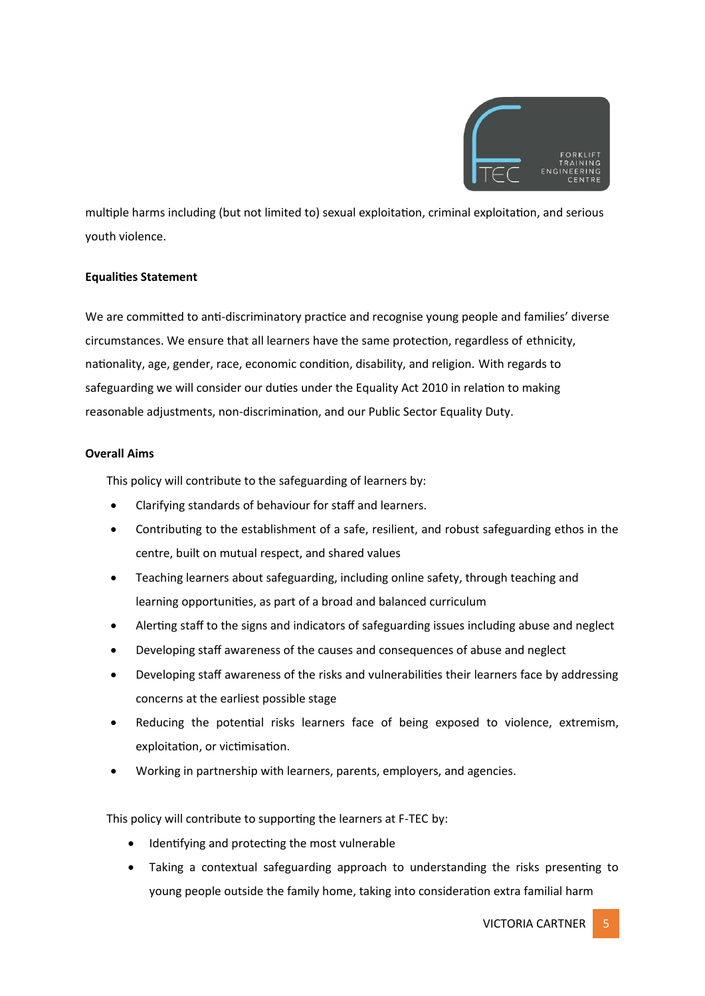

multiple harms including (but not limited to) sexual exploitation, criminal exploitation, and serious youth violence.

#### **Equalities Statement**

We are committed to anti-discriminatory practice and recognise young people and families' diverse circumstances. We ensure that all learners have the same protection, regardless of ethnicity, nationality, age, gender, race, economic condition, disability, and religion. With regards to safeguarding we will consider our duties under the Equality Act 2010 in relation to making reasonable adjustments, non-discrimination, and our Public Sector Equality Duty.

#### **Overall Aims**

This policy will contribute to the safeguarding of learners by:

- Clarifying standards of behaviour for staff and learners.
- Contributing to the establishment of a safe, resilient, and robust safeguarding ethos in the centre, built on mutual respect, and shared values
- Teaching learners about safeguarding, including online safety, through teaching and learning opportunities, as part of a broad and balanced curriculum
- Alerting staff to the signs and indicators of safeguarding issues including abuse and neglect
- Developing staff awareness of the causes and consequences of abuse and neglect
- Developing staff awareness of the risks and vulnerabilities their learners face by addressing concerns at the earliest possible stage
- Reducing the potential risks learners face of being exposed to violence, extremism, exploitation, or victimisation.
- Working in partnership with learners, parents, employers, and agencies.

This policy will contribute to supporting the learners at F-TEC by:

- Identifying and protecting the most vulnerable
- Taking a contextual safeguarding approach to understanding the risks presenting to young people outside the family home, taking into consideration extra familial harm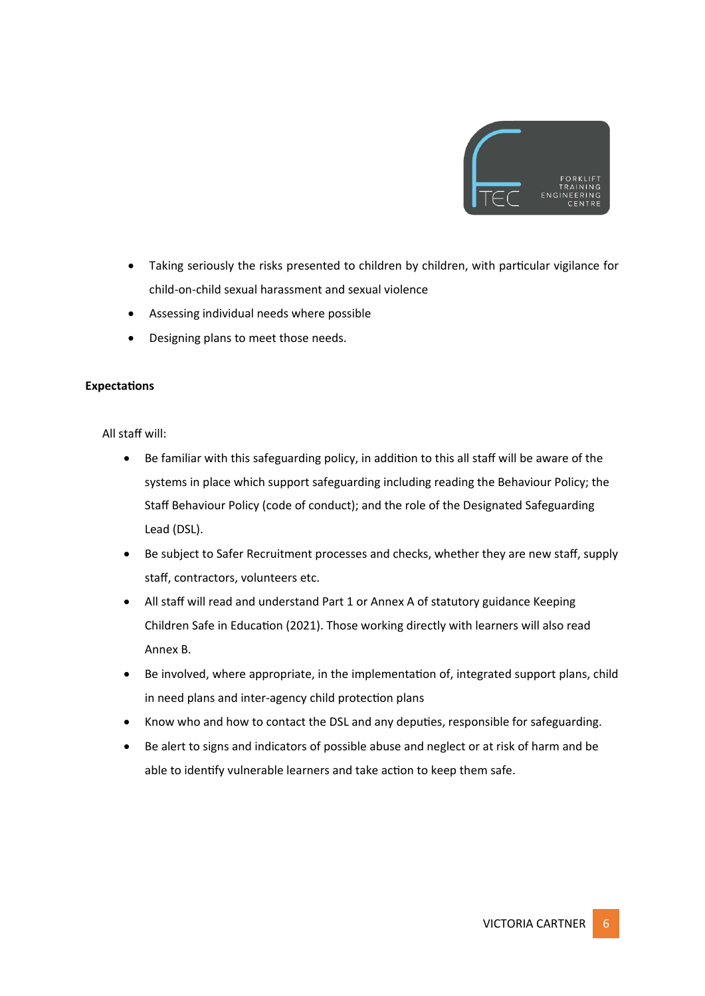

- Taking seriously the risks presented to children by children, with particular vigilance for child-on-child sexual harassment and sexual violence
- Assessing individual needs where possible
- Designing plans to meet those needs.

#### **Expectations**

All staff will:

- Be familiar with this safeguarding policy, in addition to this all staff will be aware of the systems in place which support safeguarding including reading the Behaviour Policy; the Staff Behaviour Policy (code of conduct); and the role of the Designated Safeguarding Lead (DSL).
- Be subject to Safer Recruitment processes and checks, whether they are new staff, supply staff, contractors, volunteers etc.
- All staff will read and understand Part 1 or Annex A of statutory guidance Keeping Children Safe in Education (2021). Those working directly with learners will also read Annex B.
- Be involved, where appropriate, in the implementation of, integrated support plans, child in need plans and inter-agency child protection plans
- Know who and how to contact the DSL and any deputies, responsible for safeguarding.
- Be alert to signs and indicators of possible abuse and neglect or at risk of harm and be able to identify vulnerable learners and take action to keep them safe.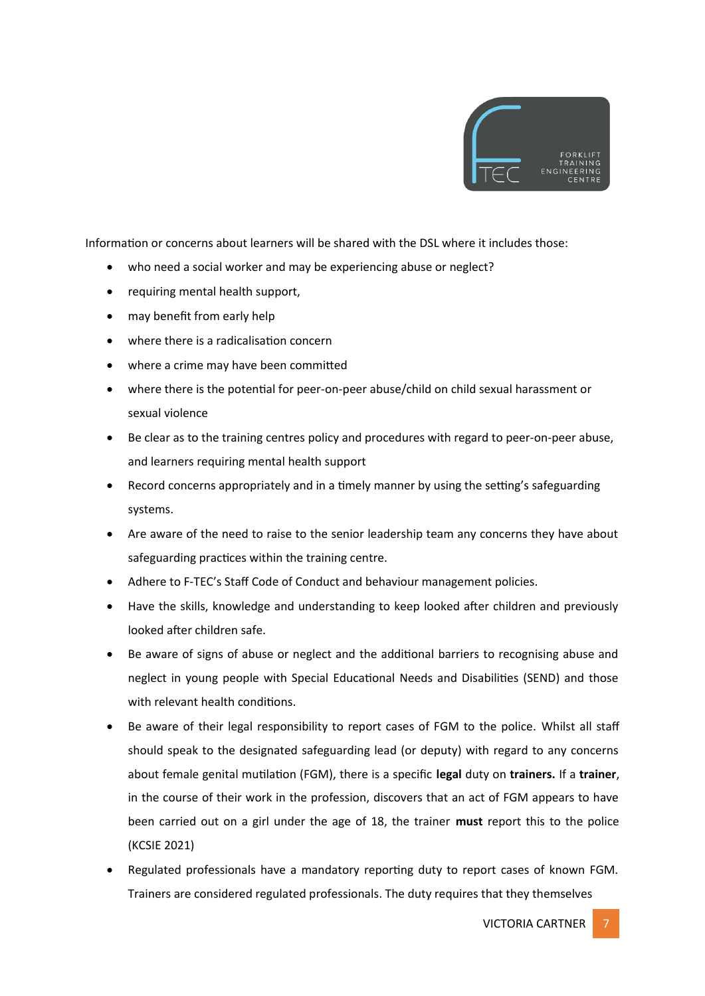

Information or concerns about learners will be shared with the DSL where it includes those:

- who need a social worker and may be experiencing abuse or neglect?
- requiring mental health support,
- may benefit from early help
- where there is a radicalisation concern
- where a crime may have been committed
- where there is the potential for peer-on-peer abuse/child on child sexual harassment or sexual violence
- Be clear as to the training centres policy and procedures with regard to peer-on-peer abuse, and learners requiring mental health support
- Record concerns appropriately and in a timely manner by using the setting's safeguarding systems.
- Are aware of the need to raise to the senior leadership team any concerns they have about safeguarding practices within the training centre.
- Adhere to F-TEC's Staff Code of Conduct and behaviour management policies.
- Have the skills, knowledge and understanding to keep looked after children and previously looked after children safe.
- Be aware of signs of abuse or neglect and the additional barriers to recognising abuse and neglect in young people with Special Educational Needs and Disabilities (SEND) and those with relevant health conditions.
- Be aware of their legal responsibility to report cases of FGM to the police. Whilst all staff should speak to the designated safeguarding lead (or deputy) with regard to any concerns about female genital mutilation (FGM), there is a specific **legal** duty on **trainers.** If a **trainer**, in the course of their work in the profession, discovers that an act of FGM appears to have been carried out on a girl under the age of 18, the trainer **must** report this to the police (KCSIE 2021)
- Regulated professionals have a mandatory reporting duty to report cases of known FGM. Trainers are considered regulated professionals. The duty requires that they themselves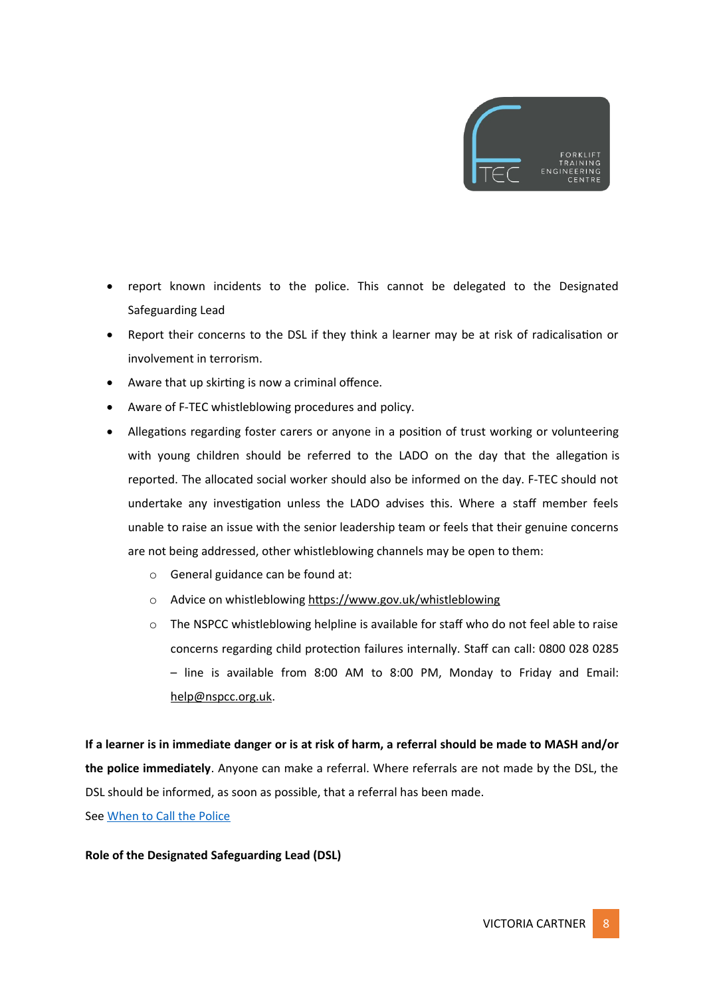

- report known incidents to the police. This cannot be delegated to the Designated Safeguarding Lead
- Report their concerns to the DSL if they think a learner may be at risk of radicalisation or involvement in terrorism.
- Aware that up skirting is now a criminal offence.
- Aware of F-TEC whistleblowing procedures and policy.
- Allegations regarding foster carers or anyone in a position of trust working or volunteering with young children should be referred to the LADO on the day that the allegation is reported. The allocated social worker should also be informed on the day. F-TEC should not undertake any investigation unless the LADO advises this. Where a staff member feels unable to raise an issue with the senior leadership team or feels that their genuine concerns are not being addressed, other whistleblowing channels may be open to them:
	- o General guidance can be found at:
	- o Advice on whistleblowing<https://www.gov.uk/whistleblowing>
	- o The NSPCC whistleblowing helpline is available for staff who do not feel able to raise concerns regarding child protection failures internally. Staff can call: 0800 028 0285 – line is available from 8:00 AM to 8:00 PM, Monday to Friday and Email: [help@nspcc.org.uk.](mailto:help@nspcc.org.uk)

**If a learner is in immediate danger or is at risk of harm, a referral should be made to MASH and/or the police immediately**. Anyone can make a referral. Where referrals are not made by the DSL, the DSL should be informed, as soon as possible, that a referral has been made. See [When to Call the Police](https://www.npcc.police.uk/documents/Children%20and%20Young%20people/When%20to%20call%20police%20guidance%20for%20schools%20and%20colleges.pdf)

#### **Role of the Designated Safeguarding Lead (DSL)**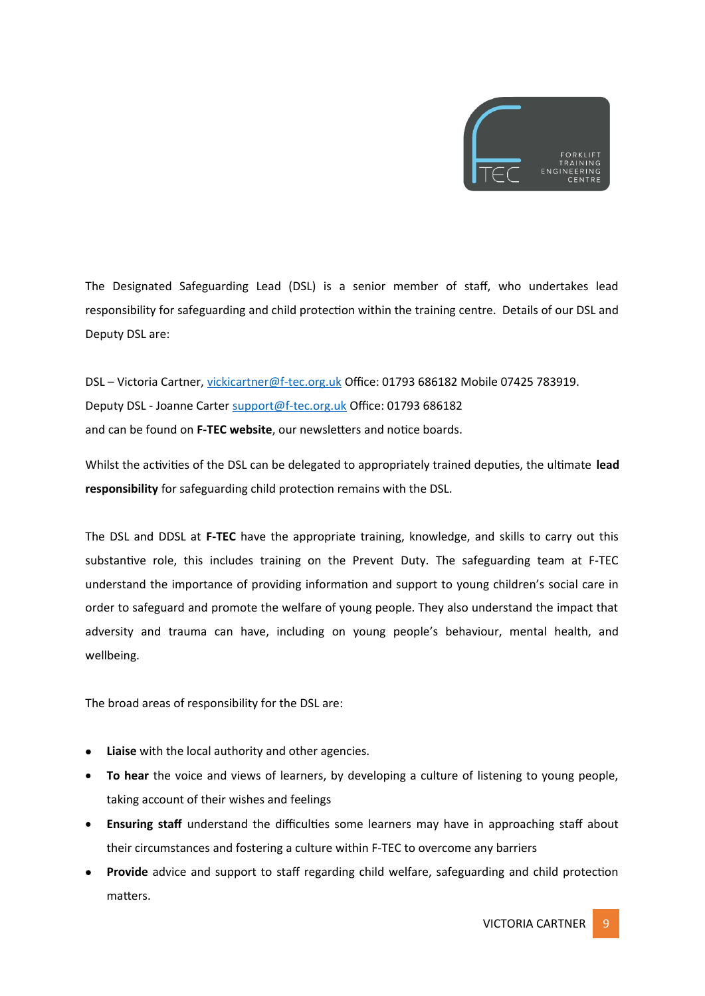

The Designated Safeguarding Lead (DSL) is a senior member of staff, who undertakes lead responsibility for safeguarding and child protection within the training centre. Details of our DSL and Deputy DSL are:

DSL – Victoria Cartner, [vickicartner@f-tec.org.uk](mailto:vickicartner@f-tec.org.uk) Office: 01793 686182 Mobile 07425 783919. Deputy DSL - Joanne Carter [support@f-tec.org.uk](mailto:support@f-tec.org.uk) Office: 01793 686182 and can be found on **F-TEC website**, our newsletters and notice boards.

Whilst the activities of the DSL can be delegated to appropriately trained deputies, the ultimate **lead responsibility** for safeguarding child protection remains with the DSL.

The DSL and DDSL at **F-TEC** have the appropriate training, knowledge, and skills to carry out this substantive role, this includes training on the Prevent Duty. The safeguarding team at F-TEC understand the importance of providing information and support to young children's social care in order to safeguard and promote the welfare of young people. They also understand the impact that adversity and trauma can have, including on young people's behaviour, mental health, and wellbeing.

The broad areas of responsibility for the DSL are:

- **Liaise** with the local authority and other agencies.
- **To hear** the voice and views of learners, by developing a culture of listening to young people, taking account of their wishes and feelings
- **Ensuring staff** understand the difficulties some learners may have in approaching staff about their circumstances and fostering a culture within F-TEC to overcome any barriers
- **Provide** advice and support to staff regarding child welfare, safeguarding and child protection matters.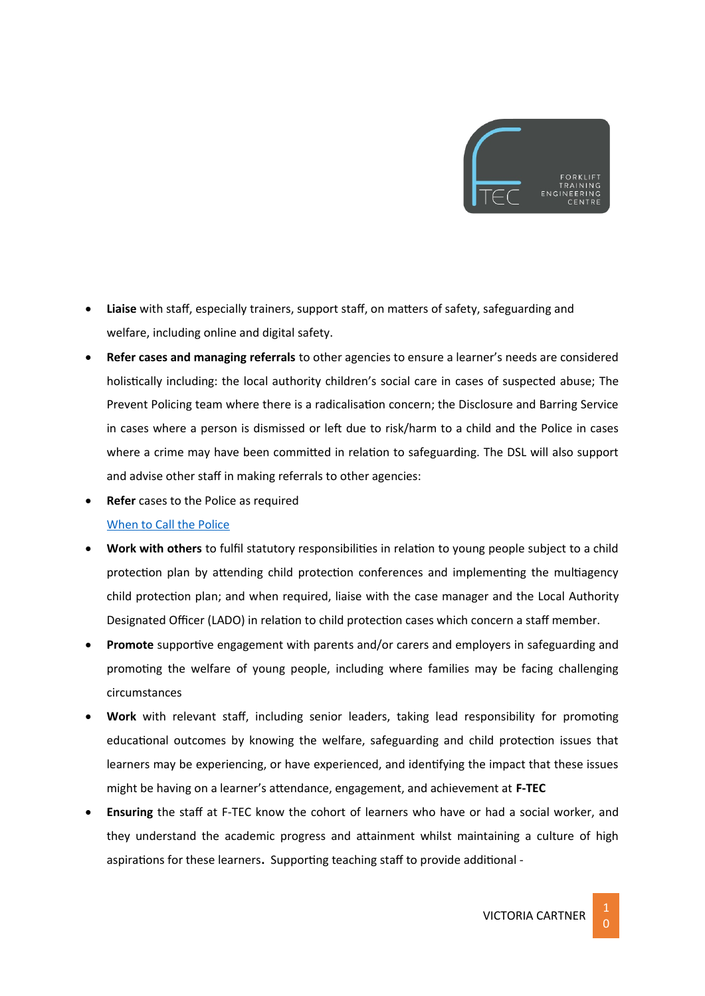

- **Liaise** with staff, especially trainers, support staff, on matters of safety, safeguarding and welfare, including online and digital safety.
- **Refer cases and managing referrals** to other agencies to ensure a learner's needs are considered holistically including: the local authority children's social care in cases of suspected abuse; The Prevent Policing team where there is a radicalisation concern; the Disclosure and Barring Service in cases where a person is dismissed or left due to risk/harm to a child and the Police in cases where a crime may have been committed in relation to safeguarding. The DSL will also support and advise other staff in making referrals to other agencies:
- **Refer** cases to the Police as required [When to Call the Police](https://www.npcc.police.uk/documents/Children%20and%20Young%20people/When%20to%20call%20police%20guidance%20for%20schools%20and%20colleges.pdf)
- **Work with others** to fulfil statutory responsibilities in relation to young people subject to a child protection plan by attending child protection conferences and implementing the multiagency child protection plan; and when required, liaise with the case manager and the Local Authority Designated Officer (LADO) in relation to child protection cases which concern a staff member.
- **Promote** supportive engagement with parents and/or carers and employers in safeguarding and promoting the welfare of young people, including where families may be facing challenging circumstances
- **Work** with relevant staff, including senior leaders, taking lead responsibility for promoting educational outcomes by knowing the welfare, safeguarding and child protection issues that learners may be experiencing, or have experienced, and identifying the impact that these issues might be having on a learner's attendance, engagement, and achievement at **F-TEC**
- **Ensuring** the staff at F-TEC know the cohort of learners who have or had a social worker, and they understand the academic progress and attainment whilst maintaining a culture of high aspirations for these learners**.** Supporting teaching staff to provide additional -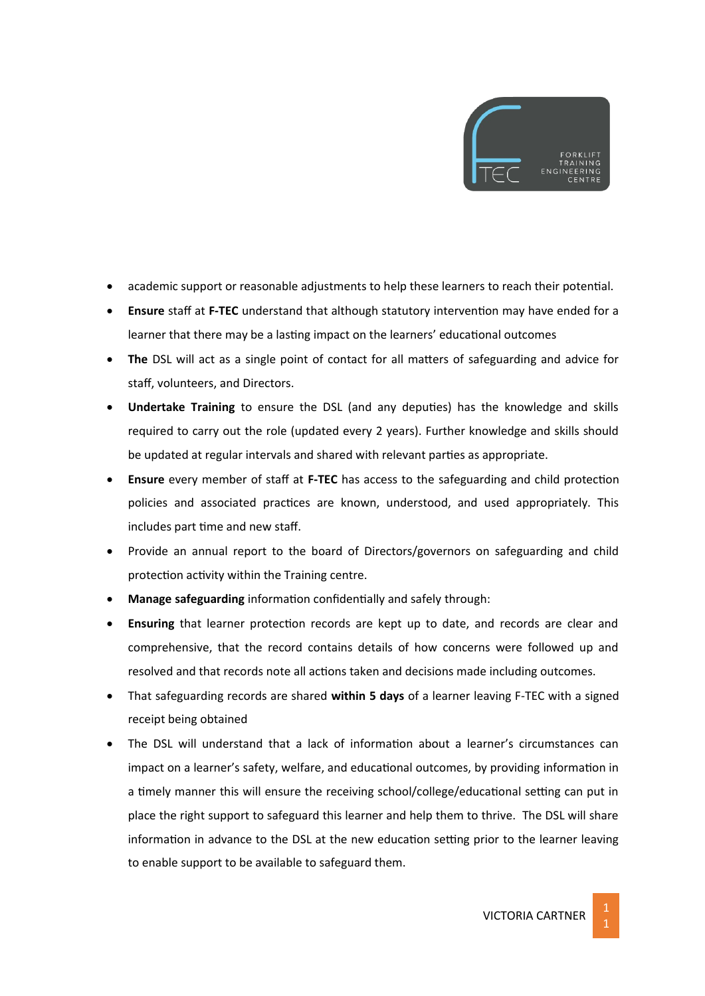

- academic support or reasonable adjustments to help these learners to reach their potential.
- **Ensure** staff at **F-TEC** understand that although statutory intervention may have ended for a learner that there may be a lasting impact on the learners' educational outcomes
- **The** DSL will act as a single point of contact for all matters of safeguarding and advice for staff, volunteers, and Directors.
- **Undertake Training** to ensure the DSL (and any deputies) has the knowledge and skills required to carry out the role (updated every 2 years). Further knowledge and skills should be updated at regular intervals and shared with relevant parties as appropriate.
- **Ensure** every member of staff at **F-TEC** has access to the safeguarding and child protection policies and associated practices are known, understood, and used appropriately. This includes part time and new staff.
- Provide an annual report to the board of Directors/governors on safeguarding and child protection activity within the Training centre.
- **Manage safeguarding** information confidentially and safely through:
- **Ensuring** that learner protection records are kept up to date, and records are clear and comprehensive, that the record contains details of how concerns were followed up and resolved and that records note all actions taken and decisions made including outcomes.
- That safeguarding records are shared **within 5 days** of a learner leaving F-TEC with a signed receipt being obtained
- The DSL will understand that a lack of information about a learner's circumstances can impact on a learner's safety, welfare, and educational outcomes, by providing information in a timely manner this will ensure the receiving school/college/educational setting can put in place the right support to safeguard this learner and help them to thrive. The DSL will share information in advance to the DSL at the new education setting prior to the learner leaving to enable support to be available to safeguard them.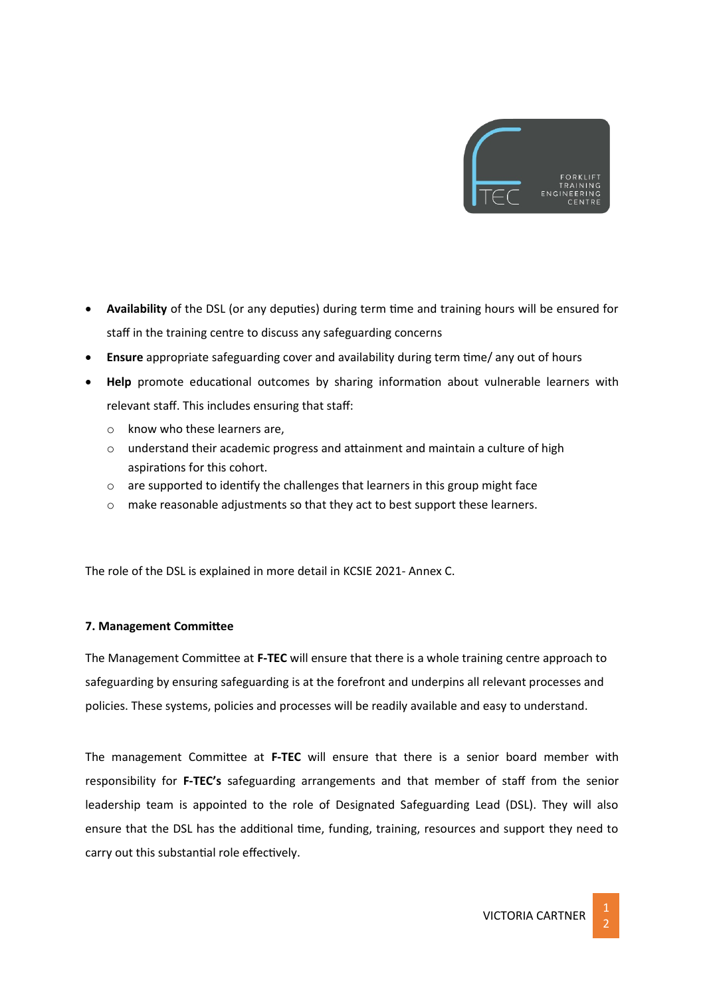

- **Availability** of the DSL (or any deputies) during term time and training hours will be ensured for staff in the training centre to discuss any safeguarding concerns
- **Ensure** appropriate safeguarding cover and availability during term time/ any out of hours
- **Help** promote educational outcomes by sharing information about vulnerable learners with relevant staff. This includes ensuring that staff:
	- o know who these learners are,
	- $\circ$  understand their academic progress and attainment and maintain a culture of high aspirations for this cohort.
	- o are supported to identify the challenges that learners in this group might face
	- o make reasonable adjustments so that they act to best support these learners.

The role of the DSL is explained in more detail in KCSIE 2021- Annex C.

#### **7. Management Committee**

The Management Committee at **F-TEC** will ensure that there is a whole training centre approach to safeguarding by ensuring safeguarding is at the forefront and underpins all relevant processes and policies. These systems, policies and processes will be readily available and easy to understand.

The management Committee at **F-TEC** will ensure that there is a senior board member with responsibility for **F-TEC's** safeguarding arrangements and that member of staff from the senior leadership team is appointed to the role of Designated Safeguarding Lead (DSL). They will also ensure that the DSL has the additional time, funding, training, resources and support they need to carry out this substantial role effectively.

2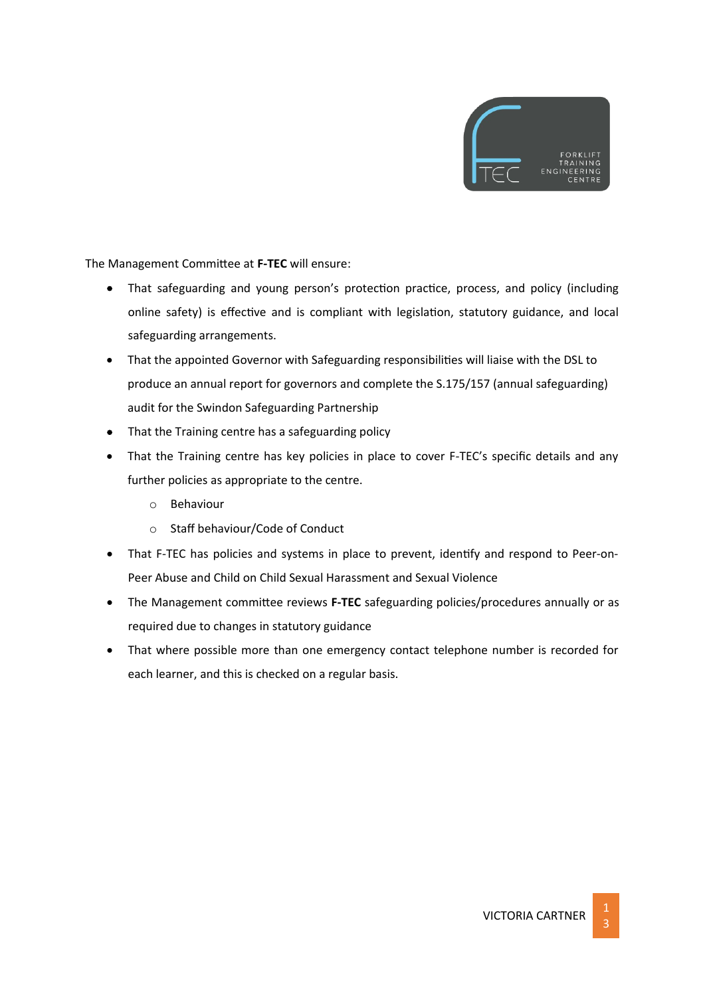

The Management Committee at **F-TEC** will ensure:

- That safeguarding and young person's protection practice, process, and policy (including online safety) is effective and is compliant with legislation, statutory guidance, and local safeguarding arrangements.
- That the appointed Governor with Safeguarding responsibilities will liaise with the DSL to produce an annual report for governors and complete the S.175/157 (annual safeguarding) audit for the Swindon Safeguarding Partnership
- That the Training centre has a safeguarding policy
- That the Training centre has key policies in place to cover F-TEC's specific details and any further policies as appropriate to the centre.
	- o Behaviour
	- o Staff behaviour/Code of Conduct
- That F-TEC has policies and systems in place to prevent, identify and respond to Peer-on-Peer Abuse and Child on Child Sexual Harassment and Sexual Violence
- The Management committee reviews **F-TEC** safeguarding policies/procedures annually or as required due to changes in statutory guidance
- That where possible more than one emergency contact telephone number is recorded for each learner, and this is checked on a regular basis.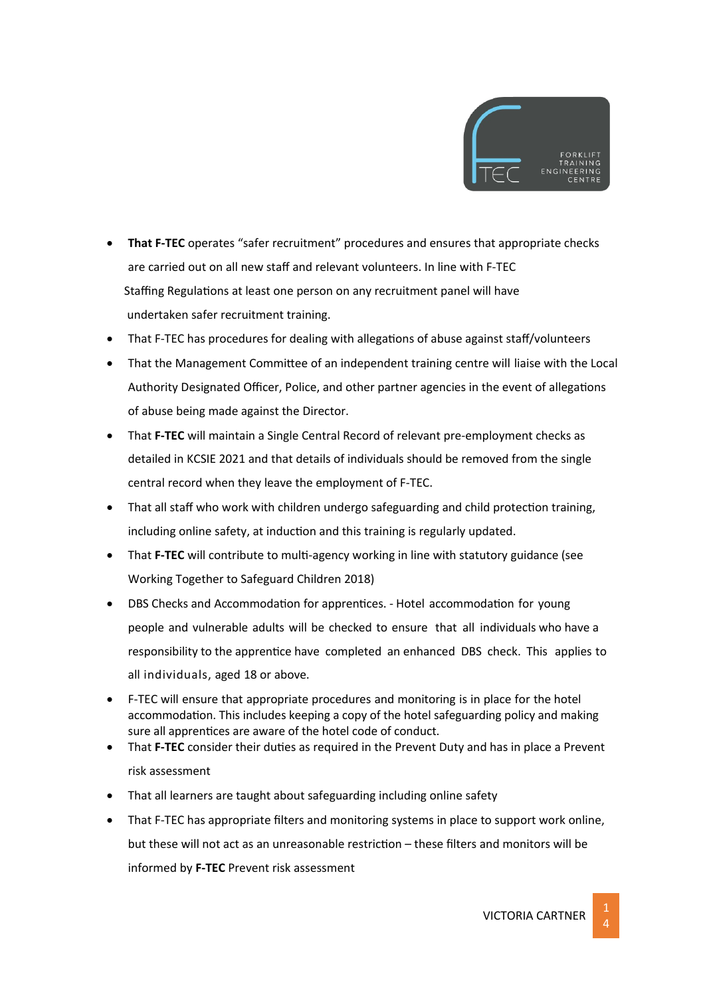

- **That F-TEC** operates "safer recruitment" procedures and ensures that appropriate checks are carried out on all new staff and relevant volunteers. In line with F-TEC Staffing Regulations at least one person on any recruitment panel will have undertaken safer recruitment training.
- That F-TEC has procedures for dealing with allegations of abuse against staff/volunteers
- That the Management Committee of an independent training centre will liaise with the Local Authority Designated Officer, Police, and other partner agencies in the event of allegations of abuse being made against the Director.
- That **F-TEC** will maintain a Single Central Record of relevant pre-employment checks as detailed in KCSIE 2021 and that details of individuals should be removed from the single central record when they leave the employment of F-TEC.
- That all staff who work with children undergo safeguarding and child protection training, including online safety, at induction and this training is regularly updated.
- That **F-TEC** will contribute to multi-agency working in line with statutory guidance (see Working Together to Safeguard Children 2018)
- DBS Checks and Accommodation for apprentices. Hotel accommodation for young people and vulnerable adults will be checked to ensure that all individuals who have a responsibility to the apprentice have completed an enhanced DBS check. This applies to all individuals, aged 18 or above.
- F-TEC will ensure that appropriate procedures and monitoring is in place for the hotel accommodation. This includes keeping a copy of the hotel safeguarding policy and making sure all apprentices are aware of the hotel code of conduct.
- That **F-TEC** consider their duties as required in the Prevent Duty and has in place a Prevent risk assessment
- That all learners are taught about safeguarding including online safety
- That F-TEC has appropriate filters and monitoring systems in place to support work online, but these will not act as an unreasonable restriction – these filters and monitors will be informed by **F-TEC** Prevent risk assessment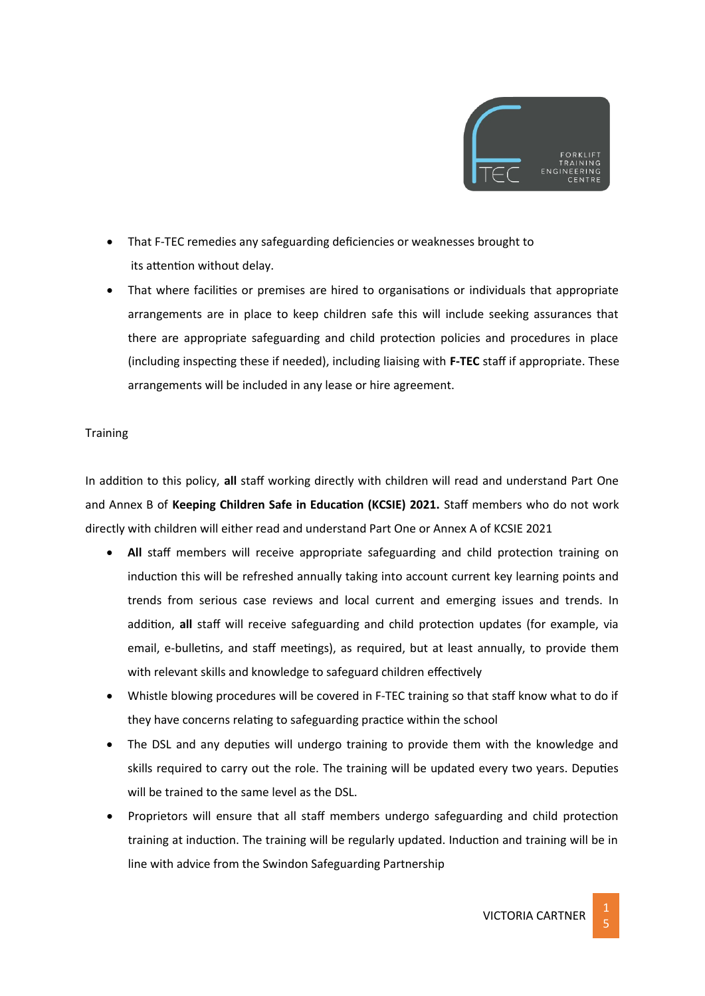

- That F-TEC remedies any safeguarding deficiencies or weaknesses brought to its attention without delay.
- That where facilities or premises are hired to organisations or individuals that appropriate arrangements are in place to keep children safe this will include seeking assurances that there are appropriate safeguarding and child protection policies and procedures in place (including inspecting these if needed), including liaising with **F-TEC** staff if appropriate. These arrangements will be included in any lease or hire agreement.

#### **Training**

In addition to this policy, **all** staff working directly with children will read and understand Part One and Annex B of **Keeping Children Safe in Education (KCSIE) 2021.** Staff members who do not work directly with children will either read and understand Part One or Annex A of KCSIE 2021

- **All** staff members will receive appropriate safeguarding and child protection training on induction this will be refreshed annually taking into account current key learning points and trends from serious case reviews and local current and emerging issues and trends. In addition, **all** staff will receive safeguarding and child protection updates (for example, via email, e-bulletins, and staff meetings), as required, but at least annually, to provide them with relevant skills and knowledge to safeguard children effectively
- Whistle blowing procedures will be covered in F-TEC training so that staff know what to do if they have concerns relating to safeguarding practice within the school
- The DSL and any deputies will undergo training to provide them with the knowledge and skills required to carry out the role. The training will be updated every two years. Deputies will be trained to the same level as the DSL.
- Proprietors will ensure that all staff members undergo safeguarding and child protection training at induction. The training will be regularly updated. Induction and training will be in line with advice from the Swindon Safeguarding Partnership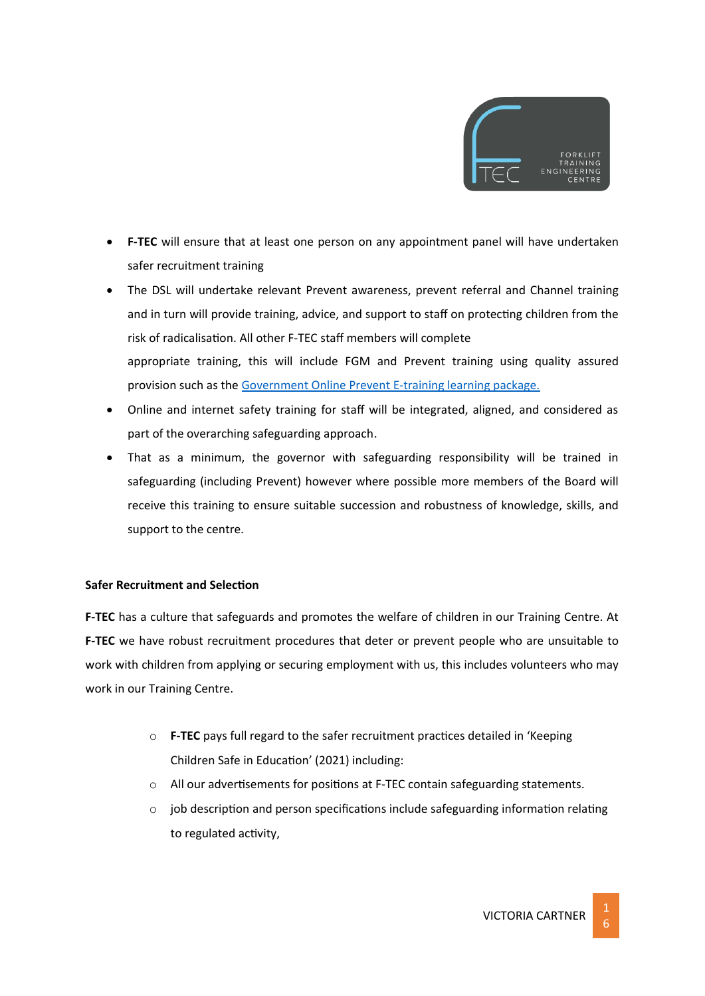

- **F-TEC** will ensure that at least one person on any appointment panel will have undertaken safer recruitment training
- The DSL will undertake relevant Prevent awareness, prevent referral and Channel training and in turn will provide training, advice, and support to staff on protecting children from the risk of radicalisation. All other F-TEC staff members will complete appropriate training, this will include FGM and Prevent training using quality assured provision such as the [Government Online Prevent E-training learning package.](https://www.elearning.prevent.homeoffice.gov.uk/edu/screen1.html)
- Online and internet safety training for staff will be integrated, aligned, and considered as part of the overarching safeguarding approach.
- That as a minimum, the governor with safeguarding responsibility will be trained in safeguarding (including Prevent) however where possible more members of the Board will receive this training to ensure suitable succession and robustness of knowledge, skills, and support to the centre.

#### **Safer Recruitment and Selection**

**F-TEC** has a culture that safeguards and promotes the welfare of children in our Training Centre. At **F-TEC** we have robust recruitment procedures that deter or prevent people who are unsuitable to work with children from applying or securing employment with us, this includes volunteers who may work in our Training Centre.

- o **F-TEC** pays full regard to the safer recruitment practices detailed in 'Keeping Children Safe in Education' (2021) including:
- $\circ$  All our advertisements for positions at F-TEC contain safeguarding statements.
- $\circ$  job description and person specifications include safeguarding information relating to regulated activity,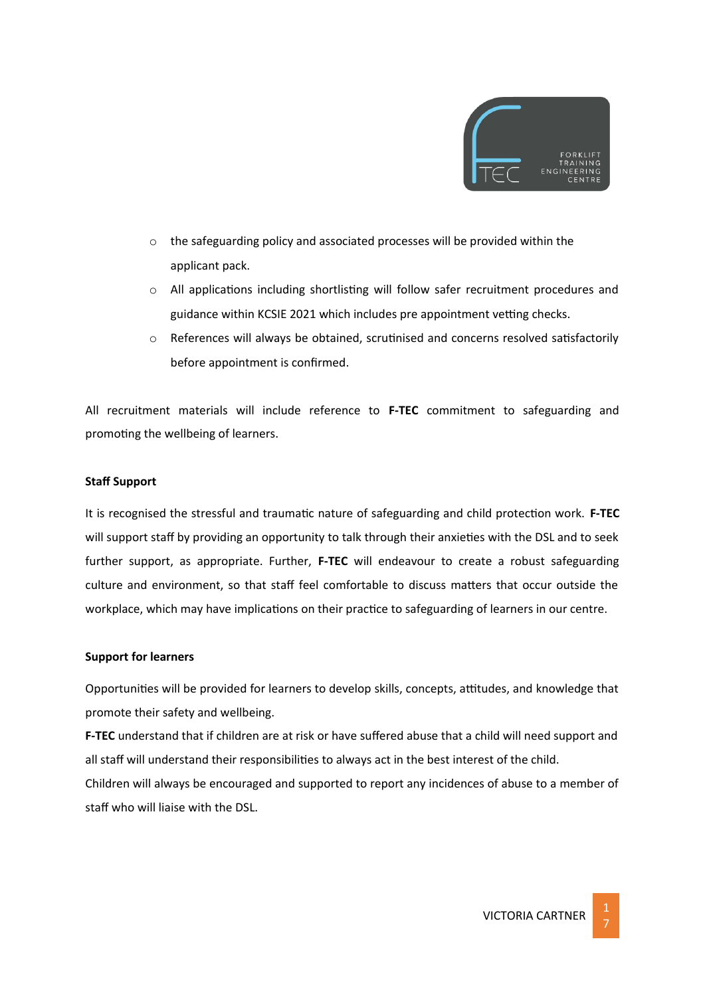

- $\circ$  the safeguarding policy and associated processes will be provided within the applicant pack.
- o All applications including shortlisting will follow safer recruitment procedures and guidance within KCSIE 2021 which includes pre appointment vetting checks.
- o References will always be obtained, scrutinised and concerns resolved satisfactorily before appointment is confirmed.

All recruitment materials will include reference to **F-TEC** commitment to safeguarding and promoting the wellbeing of learners.

#### **Staff Support**

It is recognised the stressful and traumatic nature of safeguarding and child protection work. **F-TEC** will support staff by providing an opportunity to talk through their anxieties with the DSL and to seek further support, as appropriate. Further, **F-TEC** will endeavour to create a robust safeguarding culture and environment, so that staff feel comfortable to discuss matters that occur outside the workplace, which may have implications on their practice to safeguarding of learners in our centre.

#### **Support for learners**

Opportunities will be provided for learners to develop skills, concepts, attitudes, and knowledge that promote their safety and wellbeing.

**F-TEC** understand that if children are at risk or have suffered abuse that a child will need support and all staff will understand their responsibilities to always act in the best interest of the child. Children will always be encouraged and supported to report any incidences of abuse to a member of

staff who will liaise with the DSL.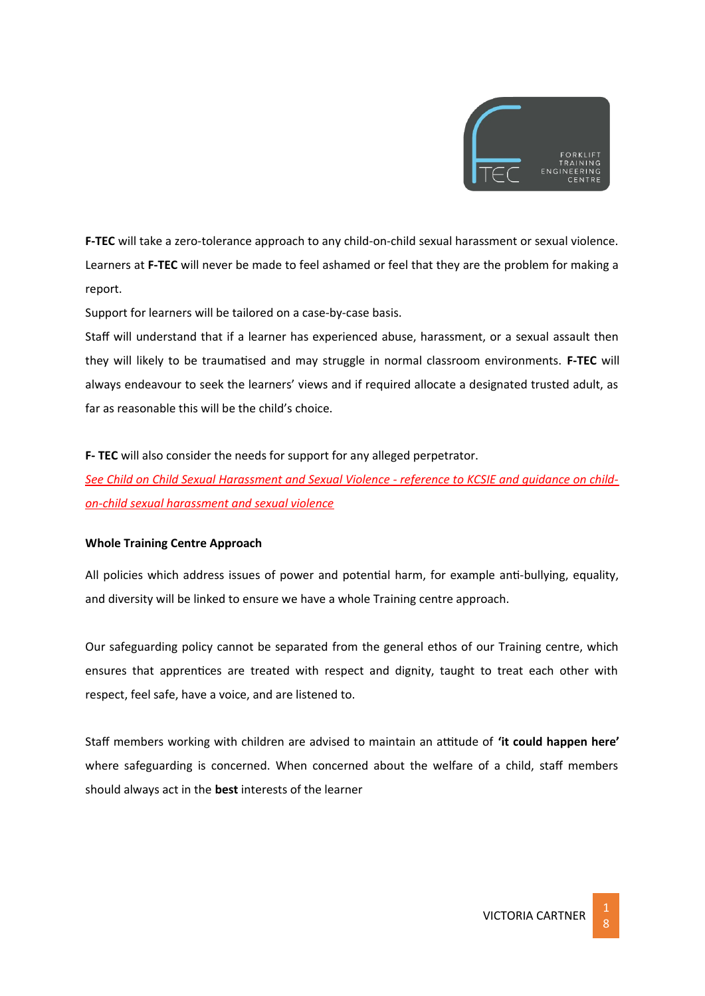

**F-TEC** will take a zero-tolerance approach to any child-on-child sexual harassment or sexual violence. Learners at **F-TEC** will never be made to feel ashamed or feel that they are the problem for making a report.

Support for learners will be tailored on a case-by-case basis.

Staff will understand that if a learner has experienced abuse, harassment, or a sexual assault then they will likely to be traumatised and may struggle in normal classroom environments. **F-TEC** will always endeavour to seek the learners' views and if required allocate a designated trusted adult, as far as reasonable this will be the child's choice.

#### **F- TEC** will also consider the needs for support for any alleged perpetrator.

*See Child on Child Sexual Harassment and Sexual Violence - reference to KCSIE and guidance on childon-child sexual harassment and sexual violence*

#### **Whole Training Centre Approach**

All policies which address issues of power and potential harm, for example anti-bullying, equality, and diversity will be linked to ensure we have a whole Training centre approach.

Our safeguarding policy cannot be separated from the general ethos of our Training centre, which ensures that apprentices are treated with respect and dignity, taught to treat each other with respect, feel safe, have a voice, and are listened to.

Staff members working with children are advised to maintain an attitude of **'it could happen here'** where safeguarding is concerned. When concerned about the welfare of a child, staff members should always act in the **best** interests of the learner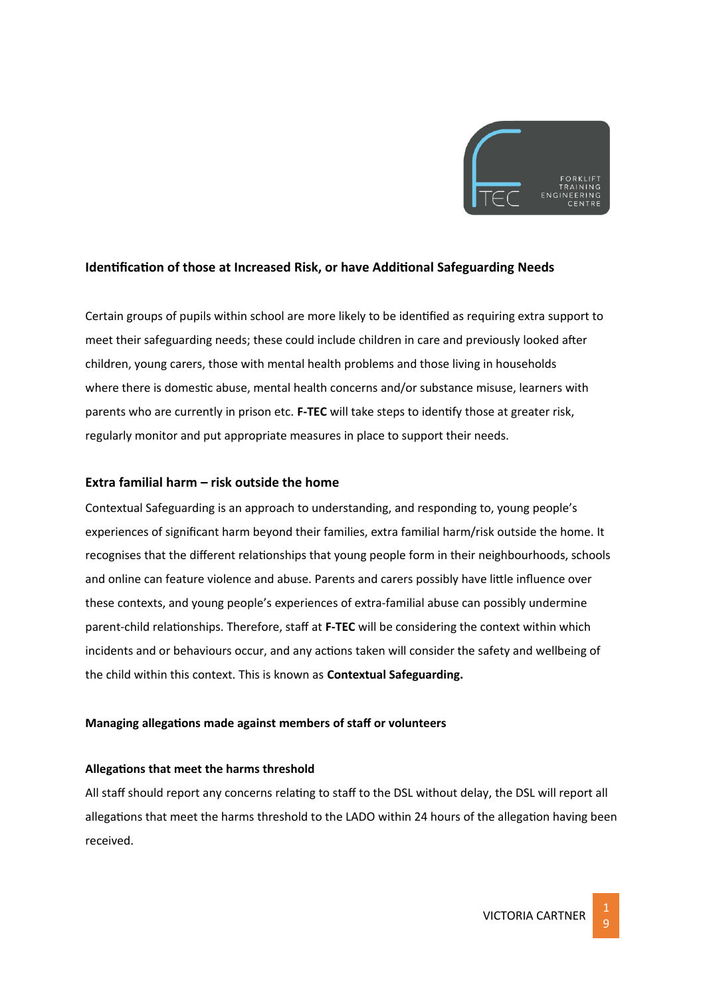

#### **Identification of those at Increased Risk, or have Additional Safeguarding Needs**

Certain groups of pupils within school are more likely to be identified as requiring extra support to meet their safeguarding needs; these could include children in care and previously looked after children, young carers, those with mental health problems and those living in households where there is domestic abuse, mental health concerns and/or substance misuse, learners with parents who are currently in prison etc. **F-TEC** will take steps to identify those at greater risk, regularly monitor and put appropriate measures in place to support their needs.

#### **Extra familial harm – risk outside the home**

Contextual Safeguarding is an approach to understanding, and responding to, young people's experiences of significant harm beyond their families, extra familial harm/risk outside the home. It recognises that the different relationships that young people form in their neighbourhoods, schools and online can feature violence and abuse. Parents and carers possibly have little influence over these contexts, and young people's experiences of extra-familial abuse can possibly undermine parent-child relationships. Therefore, staff at **F-TEC** will be considering the context within which incidents and or behaviours occur, and any actions taken will consider the safety and wellbeing of the child within this context. This is known as **Contextual Safeguarding.**

#### **Managing allegations made against members of staff or volunteers**

#### **Allegations that meet the harms threshold**

All staff should report any concerns relating to staff to the DSL without delay, the DSL will report all allegations that meet the harms threshold to the LADO within 24 hours of the allegation having been received.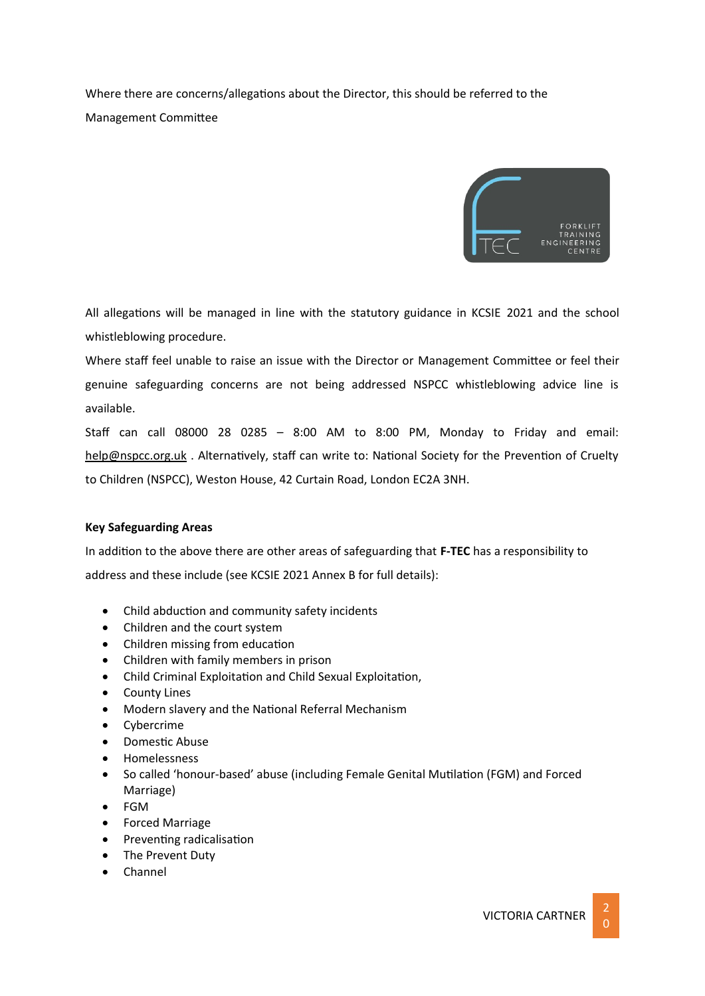Where there are concerns/allegations about the Director, this should be referred to the Management Committee



All allegations will be managed in line with the statutory guidance in KCSIE 2021 and the school whistleblowing procedure.

Where staff feel unable to raise an issue with the Director or Management Committee or feel their genuine safeguarding concerns are not being addressed NSPCC whistleblowing advice line is available.

Staff can call 08000 28 0285 – 8:00 AM to 8:00 PM, Monday to Friday and email: [help@nspcc.org.uk](mailto:help@nspcc.org.uk) . Alternatively, staff can write to: National Society for the Prevention of Cruelty to Children (NSPCC), Weston House, 42 Curtain Road, London EC2A 3NH.

#### **Key Safeguarding Areas**

In addition to the above there are other areas of safeguarding that **F-TEC** has a responsibility to address and these include (see KCSIE 2021 Annex B for full details):

- Child abduction and community safety incidents
- Children and the court system
- Children missing from education
- Children with family members in prison
- Child Criminal Exploitation and Child Sexual Exploitation,
- County Lines
- Modern slavery and the National Referral Mechanism
- Cybercrime
- Domestic Abuse
- Homelessness
- So called 'honour-based' abuse (including Female Genital Mutilation (FGM) and Forced Marriage)
- FGM
- Forced Marriage
- Preventing radicalisation
- The Prevent Duty
- Channel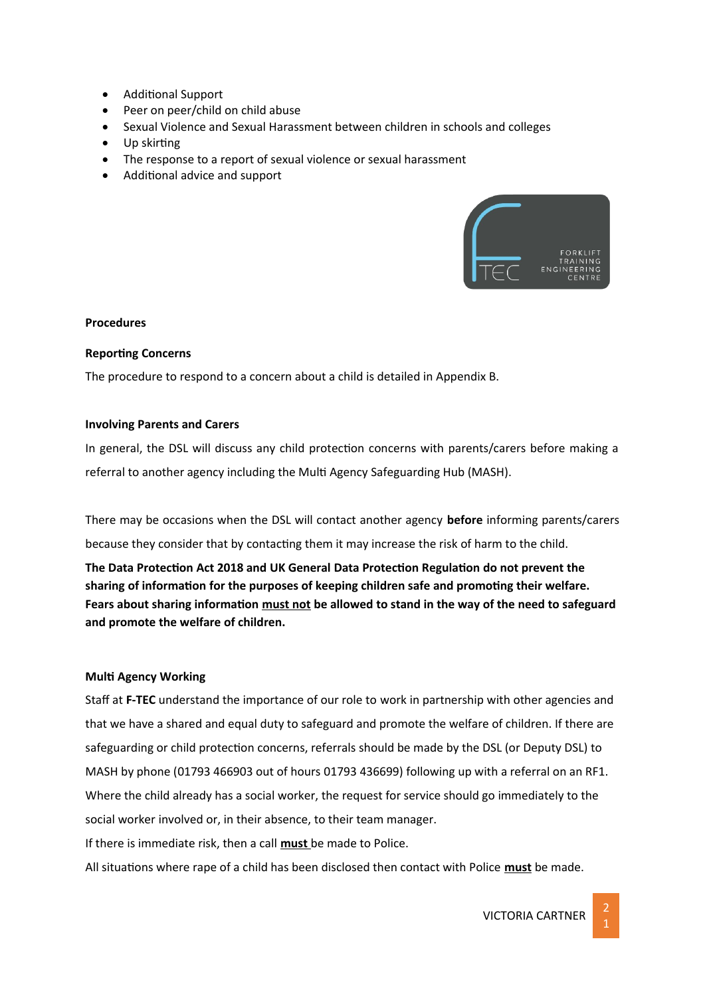- Additional Support
- Peer on peer/child on child abuse
- Sexual Violence and Sexual Harassment between children in schools and colleges
- Up skirting
- The response to a report of sexual violence or sexual harassment
- Additional advice and support



#### **Procedures**

#### **Reporting Concerns**

The procedure to respond to a concern about a child is detailed in Appendix B.

#### **Involving Parents and Carers**

In general, the DSL will discuss any child protection concerns with parents/carers before making a referral to another agency including the Multi Agency Safeguarding Hub (MASH).

There may be occasions when the DSL will contact another agency **before** informing parents/carers because they consider that by contacting them it may increase the risk of harm to the child.

**The Data Protection Act 2018 and UK General Data Protection Regulation do not prevent the sharing of information for the purposes of keeping children safe and promoting their welfare. Fears about sharing information must not be allowed to stand in the way of the need to safeguard and promote the welfare of children.**

#### **Multi Agency Working**

Staff at **F-TEC** understand the importance of our role to work in partnership with other agencies and that we have a shared and equal duty to safeguard and promote the welfare of children. If there are safeguarding or child protection concerns, referrals should be made by the DSL (or Deputy DSL) to MASH by phone (01793 466903 out of hours 01793 436699) following up with a referral on an RF1. Where the child already has a social worker, the request for service should go immediately to the social worker involved or, in their absence, to their team manager.

If there is immediate risk, then a call **must** be made to Police.

All situations where rape of a child has been disclosed then contact with Police **must** be made.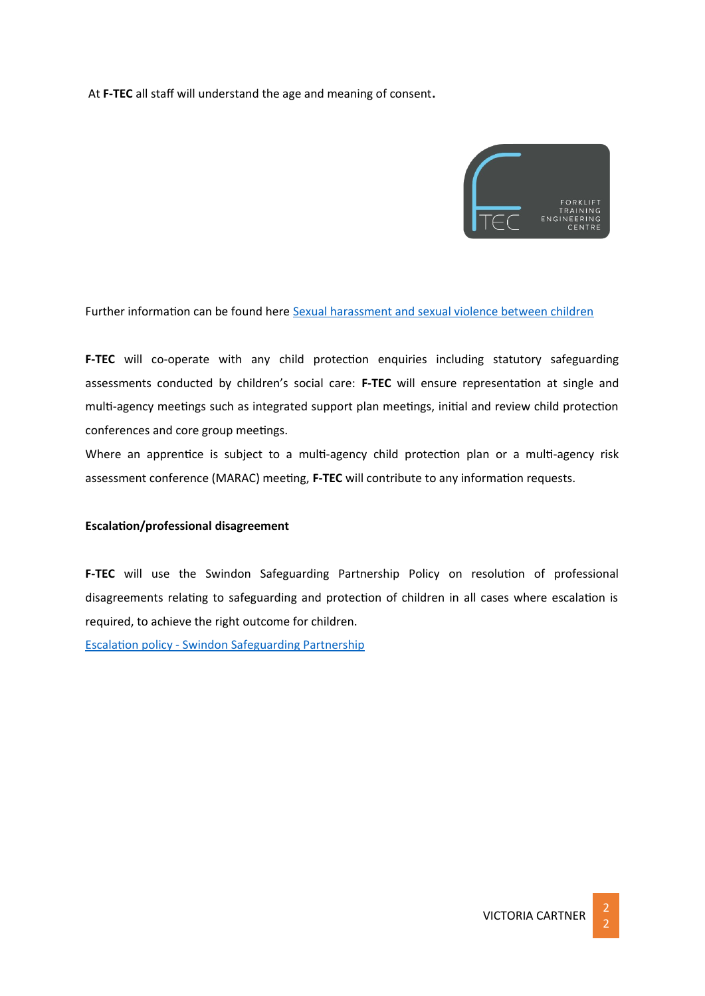At **F-TEC** all staff will understand the age and meaning of consent**.** 



Further information can be found here [Sexual harassment and sexual violence between children](https://assets.publishing.service.gov.uk/government/uploads/system/uploads/attachment_data/file/999239/SVSH_2021.pdf)

**F-TEC** will co-operate with any child protection enquiries including statutory safeguarding assessments conducted by children's social care: **F-TEC** will ensure representation at single and multi-agency meetings such as integrated support plan meetings, initial and review child protection conferences and core group meetings.

Where an apprentice is subject to a multi-agency child protection plan or a multi-agency risk assessment conference (MARAC) meeting, **F-TEC** will contribute to any information requests.

#### **Escalation/professional disagreement**

**F-TEC** will use the Swindon Safeguarding Partnership Policy on resolution of professional disagreements relating to safeguarding and protection of children in all cases where escalation is required, to achieve the right outcome for children.

[Escalation policy - Swindon Safeguarding Partnership](https://safeguardingpartnership.swindon.gov.uk/downloads/file/674/escalation_policy)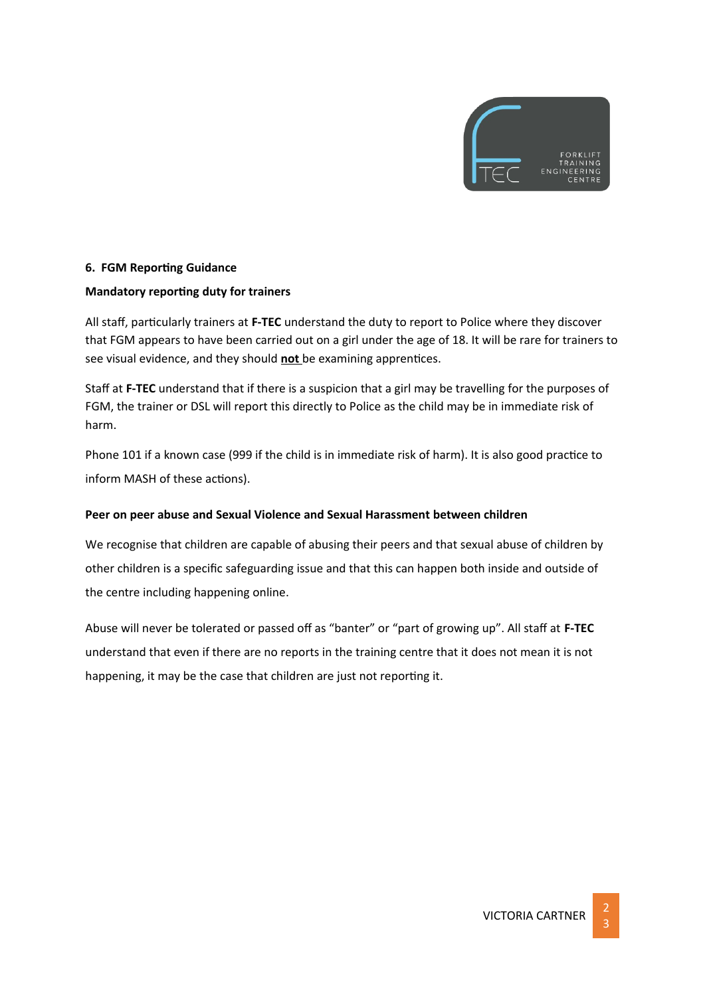

#### **6. FGM Reporting Guidance**

#### **Mandatory reporting duty for trainers**

All staff, particularly trainers at **F-TEC** understand the duty to report to Police where they discover that FGM appears to have been carried out on a girl under the age of 18. It will be rare for trainers to see visual evidence, and they should **not** be examining apprentices.

Staff at **F-TEC** understand that if there is a suspicion that a girl may be travelling for the purposes of FGM, the trainer or DSL will report this directly to Police as the child may be in immediate risk of harm.

Phone 101 if a known case (999 if the child is in immediate risk of harm). It is also good practice to inform MASH of these actions).

#### **Peer on peer abuse and Sexual Violence and Sexual Harassment between children**

We recognise that children are capable of abusing their peers and that sexual abuse of children by other children is a specific safeguarding issue and that this can happen both inside and outside of the centre including happening online.

Abuse will never be tolerated or passed off as "banter" or "part of growing up". All staff at **F-TEC** understand that even if there are no reports in the training centre that it does not mean it is not happening, it may be the case that children are just not reporting it.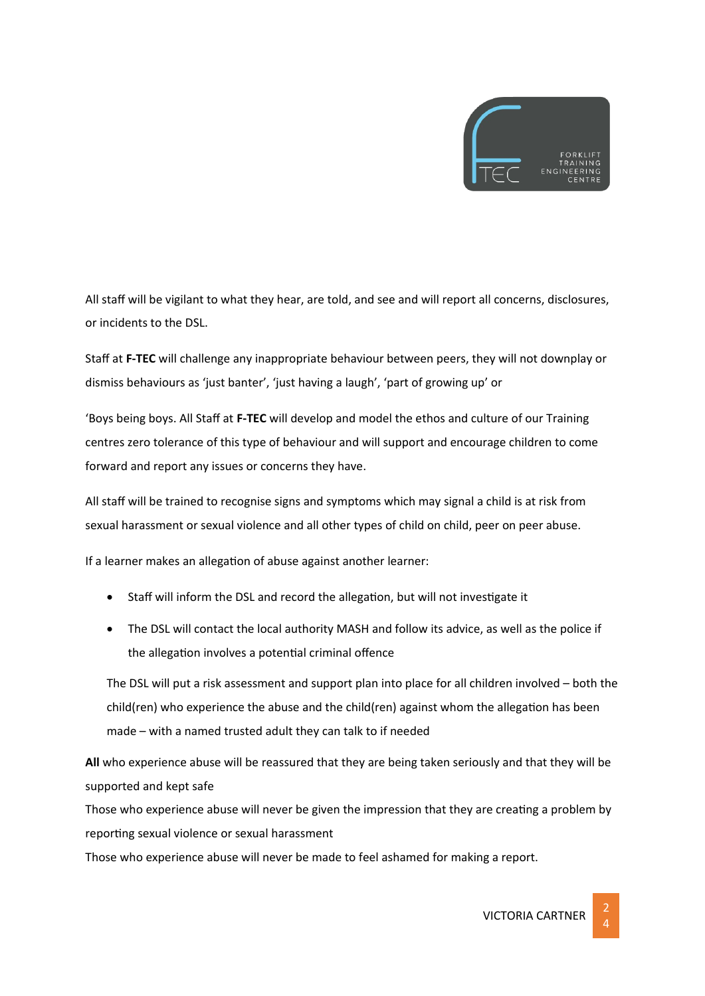

All staff will be vigilant to what they hear, are told, and see and will report all concerns, disclosures, or incidents to the DSL.

Staff at **F-TEC** will challenge any inappropriate behaviour between peers, they will not downplay or dismiss behaviours as 'just banter', 'just having a laugh', 'part of growing up' or

'Boys being boys. All Staff at **F-TEC** will develop and model the ethos and culture of our Training centres zero tolerance of this type of behaviour and will support and encourage children to come forward and report any issues or concerns they have.

All staff will be trained to recognise signs and symptoms which may signal a child is at risk from sexual harassment or sexual violence and all other types of child on child, peer on peer abuse.

If a learner makes an allegation of abuse against another learner:

- Staff will inform the DSL and record the allegation, but will not investigate it
- The DSL will contact the local authority MASH and follow its advice, as well as the police if the allegation involves a potential criminal offence

The DSL will put a risk assessment and support plan into place for all children involved – both the child(ren) who experience the abuse and the child(ren) against whom the allegation has been made – with a named trusted adult they can talk to if needed

**All** who experience abuse will be reassured that they are being taken seriously and that they will be supported and kept safe

Those who experience abuse will never be given the impression that they are creating a problem by reporting sexual violence or sexual harassment

Those who experience abuse will never be made to feel ashamed for making a report.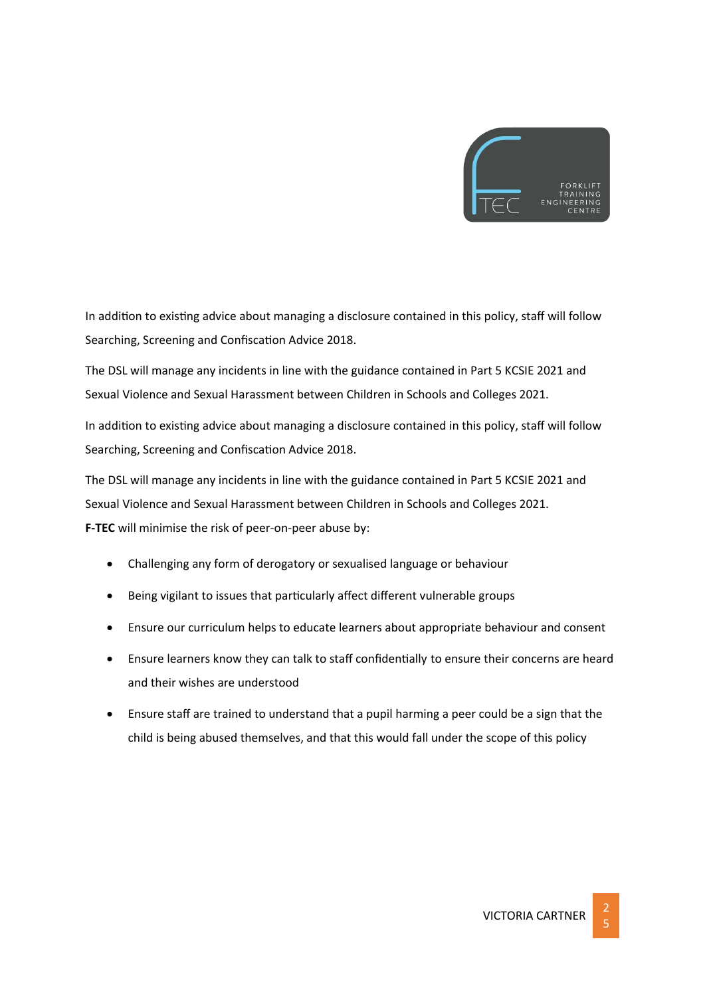

In addition to existing advice about managing a disclosure contained in this policy, staff will follow Searching, Screening and Confiscation Advice 2018.

The DSL will manage any incidents in line with the guidance contained in Part 5 KCSIE 2021 and Sexual Violence and Sexual Harassment between Children in Schools and Colleges 2021.

In addition to existing advice about managing a disclosure contained in this policy, staff will follow Searching, Screening and Confiscation Advice 2018.

The DSL will manage any incidents in line with the guidance contained in Part 5 KCSIE 2021 and Sexual Violence and Sexual Harassment between Children in Schools and Colleges 2021. **F-TEC** will minimise the risk of peer-on-peer abuse by:

- Challenging any form of derogatory or sexualised language or behaviour
- Being vigilant to issues that particularly affect different vulnerable groups
- Ensure our curriculum helps to educate learners about appropriate behaviour and consent
- Ensure learners know they can talk to staff confidentially to ensure their concerns are heard and their wishes are understood
- Ensure staff are trained to understand that a pupil harming a peer could be a sign that the child is being abused themselves, and that this would fall under the scope of this policy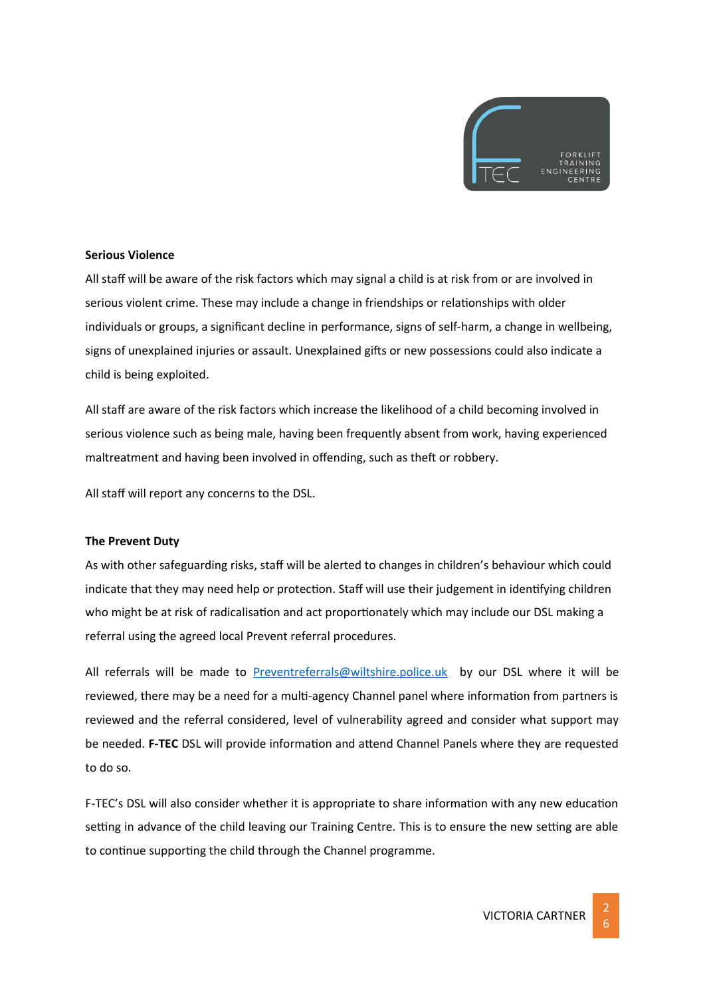

#### **Serious Violence**

All staff will be aware of the risk factors which may signal a child is at risk from or are involved in serious violent crime. These may include a change in friendships or relationships with older individuals or groups, a significant decline in performance, signs of self-harm, a change in wellbeing, signs of unexplained injuries or assault. Unexplained gifts or new possessions could also indicate a child is being exploited.

All staff are aware of the risk factors which increase the likelihood of a child becoming involved in serious violence such as being male, having been frequently absent from work, having experienced maltreatment and having been involved in offending, such as theft or robbery.

All staff will report any concerns to the DSL.

#### **The Prevent Duty**

As with other safeguarding risks, staff will be alerted to changes in children's behaviour which could indicate that they may need help or protection. Staff will use their judgement in identifying children who might be at risk of radicalisation and act proportionately which may include our DSL making a referral using the agreed local Prevent referral procedures.

All referrals will be made to [Preventreferrals@wiltshire.police.uk](mailto:Preventreferrals@wiltshire.police.uk) by our DSL where it will be reviewed, there may be a need for a multi-agency Channel panel where information from partners is reviewed and the referral considered, level of vulnerability agreed and consider what support may be needed. **F-TEC** DSL will provide information and attend Channel Panels where they are requested to do so.

F-TEC's DSL will also consider whether it is appropriate to share information with any new education setting in advance of the child leaving our Training Centre. This is to ensure the new setting are able to continue supporting the child through the Channel programme.

6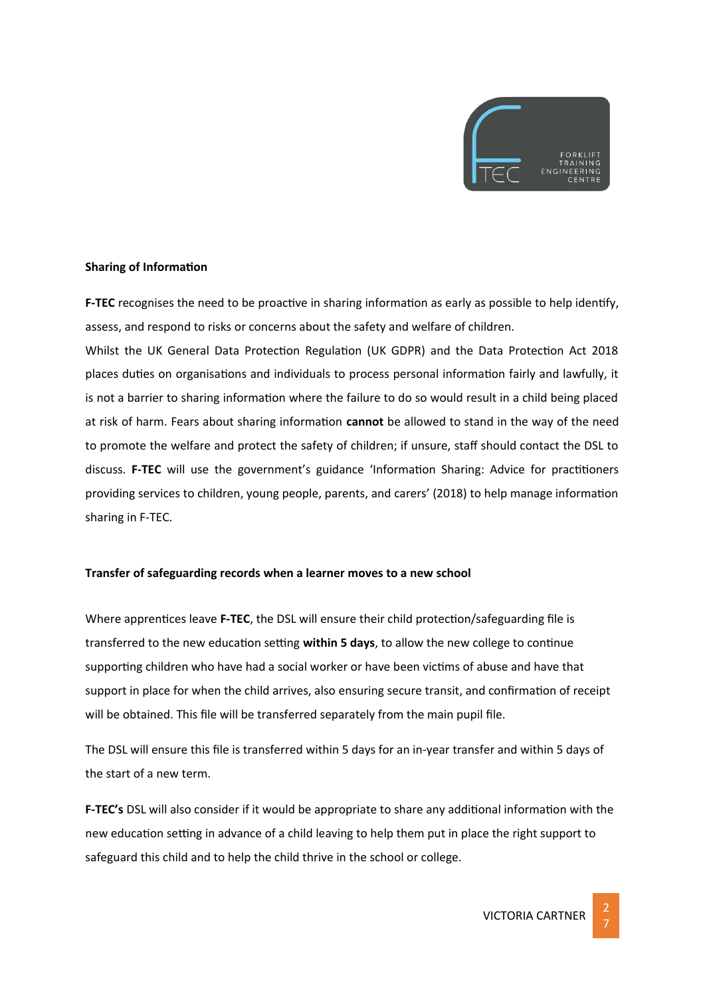

#### **Sharing of Information**

**F-TEC** recognises the need to be proactive in sharing information as early as possible to help identify, assess, and respond to risks or concerns about the safety and welfare of children.

Whilst the UK General Data Protection Regulation (UK GDPR) and the Data Protection Act 2018 places duties on organisations and individuals to process personal information fairly and lawfully, it is not a barrier to sharing information where the failure to do so would result in a child being placed at risk of harm. Fears about sharing information **cannot** be allowed to stand in the way of the need to promote the welfare and protect the safety of children; if unsure, staff should contact the DSL to discuss. **F-TEC** will use the government's guidance 'Information Sharing: Advice for practitioners providing services to children, young people, parents, and carers' (2018) to help manage information sharing in F-TEC.

#### **Transfer of safeguarding records when a learner moves to a new school**

Where apprentices leave **F-TEC**, the DSL will ensure their child protection/safeguarding file is transferred to the new education setting **within 5 days**, to allow the new college to continue supporting children who have had a social worker or have been victims of abuse and have that support in place for when the child arrives, also ensuring secure transit, and confirmation of receipt will be obtained. This file will be transferred separately from the main pupil file.

The DSL will ensure this file is transferred within 5 days for an in-year transfer and within 5 days of the start of a new term.

**F-TEC's** DSL will also consider if it would be appropriate to share any additional information with the new education setting in advance of a child leaving to help them put in place the right support to safeguard this child and to help the child thrive in the school or college.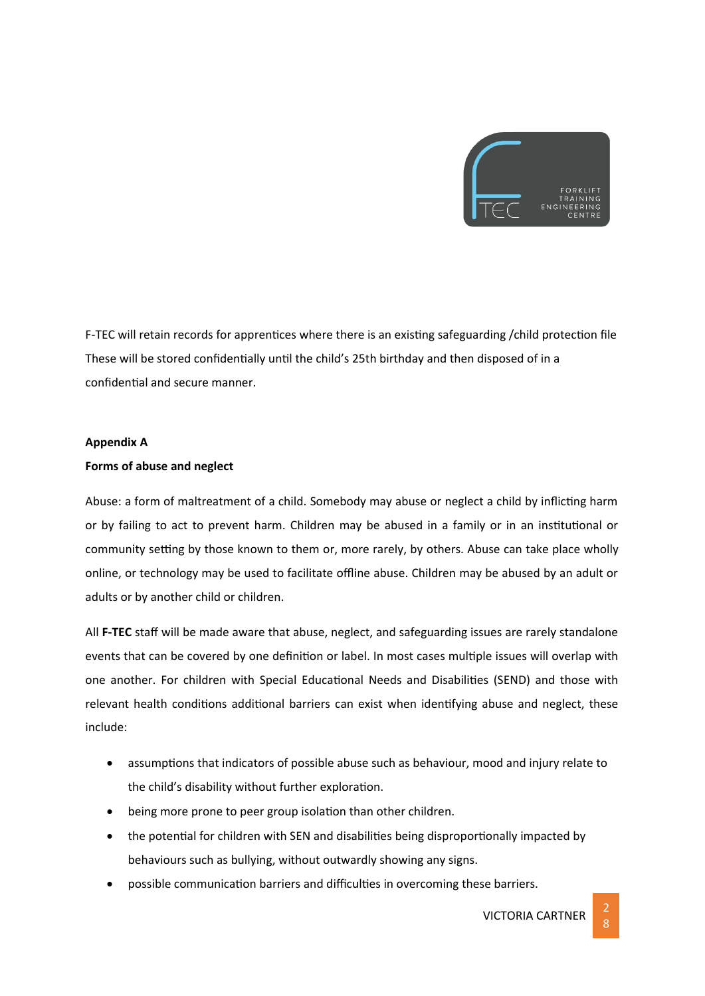

F-TEC will retain records for apprentices where there is an existing safeguarding /child protection file These will be stored confidentially until the child's 25th birthday and then disposed of in a confidential and secure manner.

#### **Appendix A**

#### **Forms of abuse and neglect**

Abuse: a form of maltreatment of a child. Somebody may abuse or neglect a child by inflicting harm or by failing to act to prevent harm. Children may be abused in a family or in an institutional or community setting by those known to them or, more rarely, by others. Abuse can take place wholly online, or technology may be used to facilitate offline abuse. Children may be abused by an adult or adults or by another child or children.

All **F-TEC** staff will be made aware that abuse, neglect, and safeguarding issues are rarely standalone events that can be covered by one definition or label. In most cases multiple issues will overlap with one another. For children with Special Educational Needs and Disabilities (SEND) and those with relevant health conditions additional barriers can exist when identifying abuse and neglect, these include:

- assumptions that indicators of possible abuse such as behaviour, mood and injury relate to the child's disability without further exploration.
- being more prone to peer group isolation than other children.
- the potential for children with SEN and disabilities being disproportionally impacted by behaviours such as bullying, without outwardly showing any signs.
- possible communication barriers and difficulties in overcoming these barriers.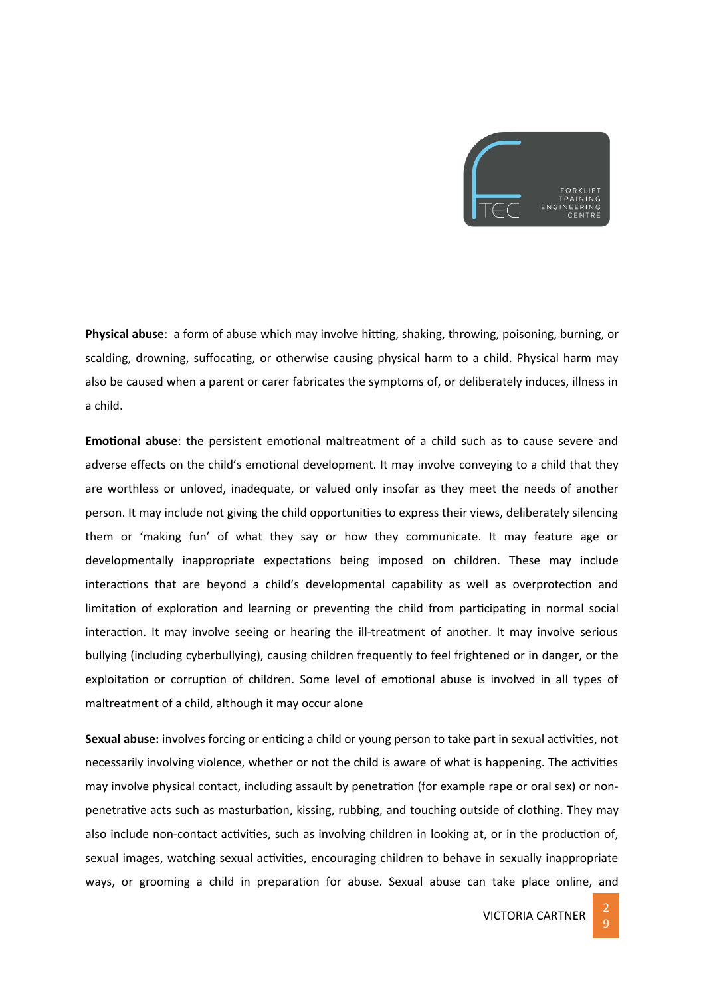

**Physical abuse**: a form of abuse which may involve hitting, shaking, throwing, poisoning, burning, or scalding, drowning, suffocating, or otherwise causing physical harm to a child. Physical harm may also be caused when a parent or carer fabricates the symptoms of, or deliberately induces, illness in a child.

**Emotional abuse**: the persistent emotional maltreatment of a child such as to cause severe and adverse effects on the child's emotional development. It may involve conveying to a child that they are worthless or unloved, inadequate, or valued only insofar as they meet the needs of another person. It may include not giving the child opportunities to express their views, deliberately silencing them or 'making fun' of what they say or how they communicate. It may feature age or developmentally inappropriate expectations being imposed on children. These may include interactions that are beyond a child's developmental capability as well as overprotection and limitation of exploration and learning or preventing the child from participating in normal social interaction. It may involve seeing or hearing the ill-treatment of another. It may involve serious bullying (including cyberbullying), causing children frequently to feel frightened or in danger, or the exploitation or corruption of children. Some level of emotional abuse is involved in all types of maltreatment of a child, although it may occur alone

**Sexual abuse:** involves forcing or enticing a child or young person to take part in sexual activities, not necessarily involving violence, whether or not the child is aware of what is happening. The activities may involve physical contact, including assault by penetration (for example rape or oral sex) or nonpenetrative acts such as masturbation, kissing, rubbing, and touching outside of clothing. They may also include non-contact activities, such as involving children in looking at, or in the production of, sexual images, watching sexual activities, encouraging children to behave in sexually inappropriate ways, or grooming a child in preparation for abuse. Sexual abuse can take place online, and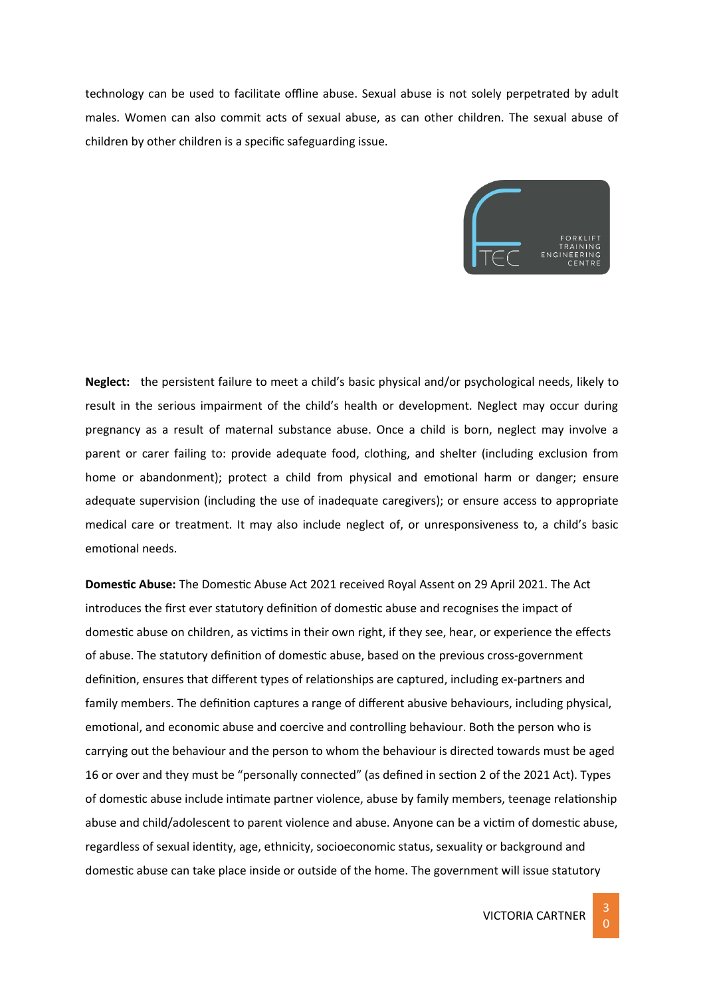technology can be used to facilitate offline abuse. Sexual abuse is not solely perpetrated by adult males. Women can also commit acts of sexual abuse, as can other children. The sexual abuse of children by other children is a specific safeguarding issue.



**Neglect:** the persistent failure to meet a child's basic physical and/or psychological needs, likely to result in the serious impairment of the child's health or development. Neglect may occur during pregnancy as a result of maternal substance abuse. Once a child is born, neglect may involve a parent or carer failing to: provide adequate food, clothing, and shelter (including exclusion from home or abandonment); protect a child from physical and emotional harm or danger; ensure adequate supervision (including the use of inadequate caregivers); or ensure access to appropriate medical care or treatment. It may also include neglect of, or unresponsiveness to, a child's basic emotional needs.

**Domestic Abuse:** The Domestic Abuse Act 2021 received Royal Assent on 29 April 2021. The Act introduces the first ever statutory definition of domestic abuse and recognises the impact of domestic abuse on children, as victims in their own right, if they see, hear, or experience the effects of abuse. The statutory definition of domestic abuse, based on the previous cross-government definition, ensures that different types of relationships are captured, including ex-partners and family members. The definition captures a range of different abusive behaviours, including physical, emotional, and economic abuse and coercive and controlling behaviour. Both the person who is carrying out the behaviour and the person to whom the behaviour is directed towards must be aged 16 or over and they must be "personally connected" (as defined in section 2 of the 2021 Act). Types of domestic abuse include intimate partner violence, abuse by family members, teenage relationship abuse and child/adolescent to parent violence and abuse. Anyone can be a victim of domestic abuse, regardless of sexual identity, age, ethnicity, socioeconomic status, sexuality or background and domestic abuse can take place inside or outside of the home. The government will issue statutory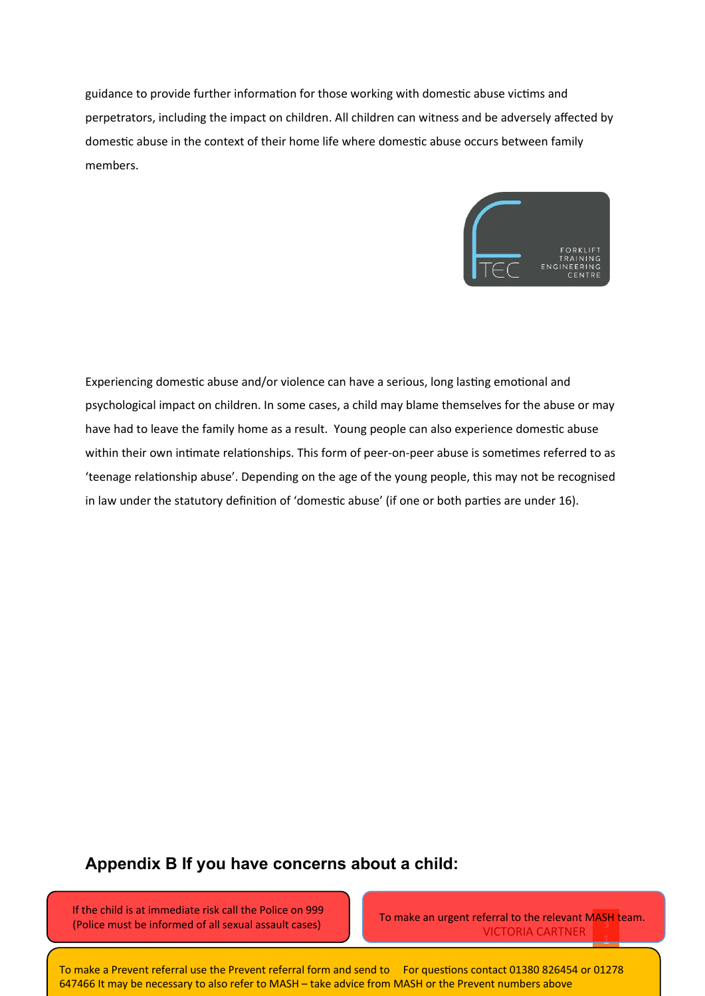guidance to provide further information for those working with domestic abuse victims and perpetrators, including the impact on children. All children can witness and be adversely affected by domestic abuse in the context of their home life where domestic abuse occurs between family members.



Experiencing domestic abuse and/or violence can have a serious, long lasting emotional and psychological impact on children. In some cases, a child may blame themselves for the abuse or may have had to leave the family home as a result. Young people can also experience domestic abuse within their own intimate relationships. This form of peer-on-peer abuse is sometimes referred to as 'teenage relationship abuse'. Depending on the age of the young people, this may not be recognised in law under the statutory definition of 'domestic abuse' (if one or both parties are under 16).

### **Appendix B If you have concerns about a child:**

If the child is at immediate risk call the Police on 999 (Police must be informed of all sexual assault cases)

To make an urgent referral to the relevant MASH team.<br>VICTORIA CARTNER 1

To make a Prevent referral use the Prevent referral form and send to For questions contact 01380 826454 or 01278 647466 It may be necessary to also refer to MASH – take advice from MASH or the Prevent numbers above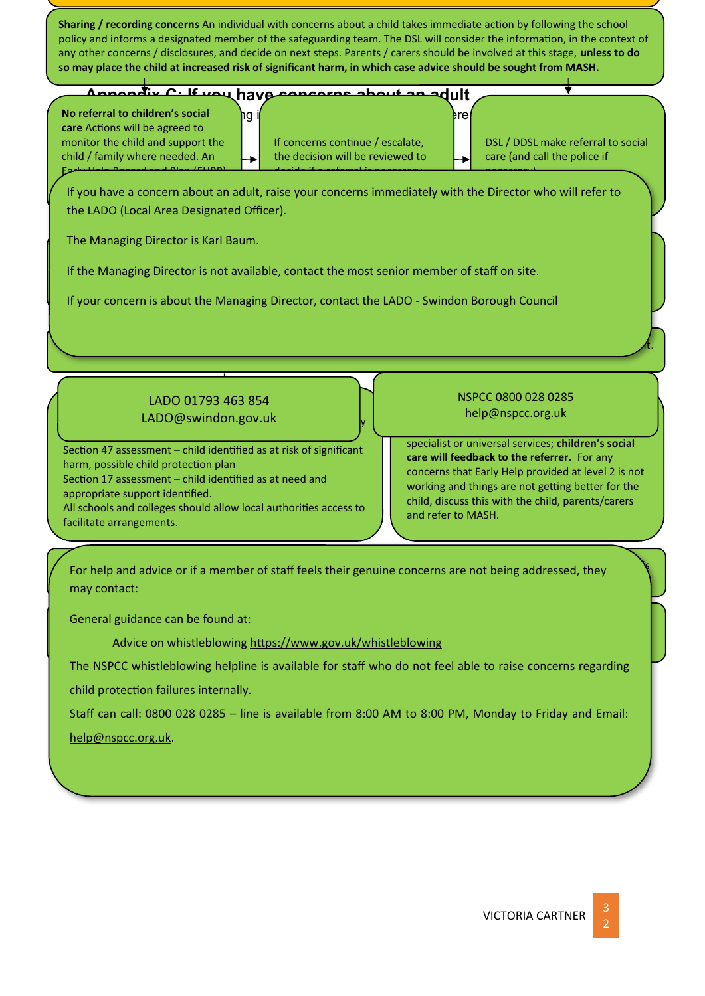**Sharing / recording concerns** An individual with concerns about a child takes immediate action by following the school policy and informs a designated member of the safeguarding team. The DSL will consider the information, in the context of any other concerns / disclosures, and decide on next steps. Parents / carers should be involved at this stage, **unless to do so may place the child at increased risk of significant harm, in which case advice should be sought from MASH.**



If you have a concern about an adult, raise your concerns immediately with the Director who will refer to the LADO (Local Area Designated Officer).

**Children's social care consideration** Children's social care decides within 1 working day what action will be taken, including if an assessment is needed and **feedback to the referrer.** This decision will be made using the Swindon threshold document.

**Referral to children's social care** The DSL will make a telephone referral in the first instance to MASH. This must be The Managing Director is Karl Baum.

If the Managing Director is not available, sontact the most senior member of staff on site If the Managing Director is not available, contact the most senior member of staff on site.<br> **If the Managing Director is not available**, contact the most senior member of staff on site.

If your concern is about the Managing Director, contact the LADO - Swindon Borough Council

 $\blacksquare$ Child in  $\blacksquare$  LADO@swindon.gov.uk LADO 01793 463 854

action taken by police, NSPCC, or social worker. Section 47 assessment – child identified as at risk of significant harm, possible child protection plan Section 17 assessment – child identified as at need and appropriate support identified. All schools and colleges should allow local authorities access to facilitate arrangements.

**No. 1989 NSPCC 0800 028 0285** referral does not meet the threshold, and  $\epsilon$  is the threshold, and  $\epsilon$ 

specialist or universal services; **children's social care will feedback to the referrer.** For any concerns that Early Help provided at level 2 is not working and things are not getting better for the child, discuss this with the child, parents/carers and refer to MASH.

For help and advice or if a member of staff feels their genuine concerns are not being addressed, they For help and advice or if a member of staff feels their genuine concerns are not being addressed, they being at they may contact:

General guidance can be found at:

Advice on whistleblowing<https://www.gov.uk/whistleblowing>

The NSPCC whistleblowing helpline is available for staff who do not feel able to raise concerns regarding

child protection failures internally.

Staff can call: 0800 028 0285 – line is available from 8:00 AM to 8:00 PM, Monday to Friday and Email:

[help@nspcc.org.uk.](mailto:help@nspcc.org.uk)

2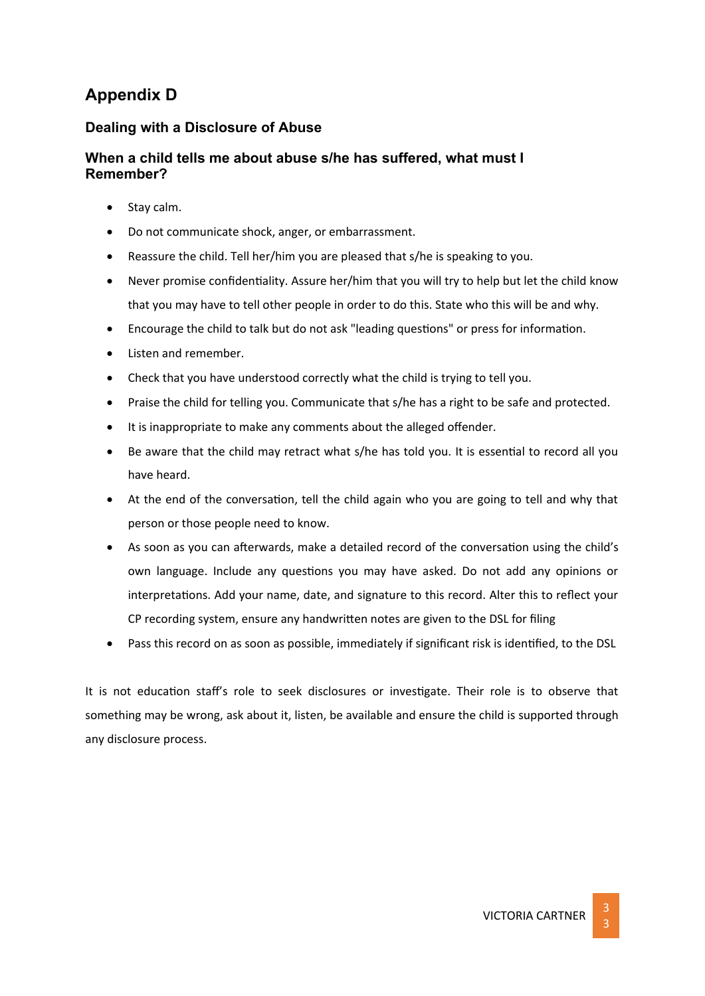## **Appendix D**

### **Dealing with a Disclosure of Abuse**

### **When a child tells me about abuse s/he has suffered, what must I Remember?**

- Stay calm.
- Do not communicate shock, anger, or embarrassment.
- Reassure the child. Tell her/him you are pleased that s/he is speaking to you.
- Never promise confidentiality. Assure her/him that you will try to help but let the child know that you may have to tell other people in order to do this. State who this will be and why.
- Encourage the child to talk but do not ask "leading questions" or press for information.
- Listen and remember.
- Check that you have understood correctly what the child is trying to tell you.
- Praise the child for telling you. Communicate that s/he has a right to be safe and protected.
- It is inappropriate to make any comments about the alleged offender.
- Be aware that the child may retract what s/he has told you. It is essential to record all you have heard.
- At the end of the conversation, tell the child again who you are going to tell and why that person or those people need to know.
- As soon as you can afterwards, make a detailed record of the conversation using the child's own language. Include any questions you may have asked. Do not add any opinions or interpretations. Add your name, date, and signature to this record. Alter this to reflect your CP recording system, ensure any handwritten notes are given to the DSL for filing
- Pass this record on as soon as possible, immediately if significant risk is identified, to the DSL

It is not education staff's role to seek disclosures or investigate. Their role is to observe that something may be wrong, ask about it, listen, be available and ensure the child is supported through any disclosure process.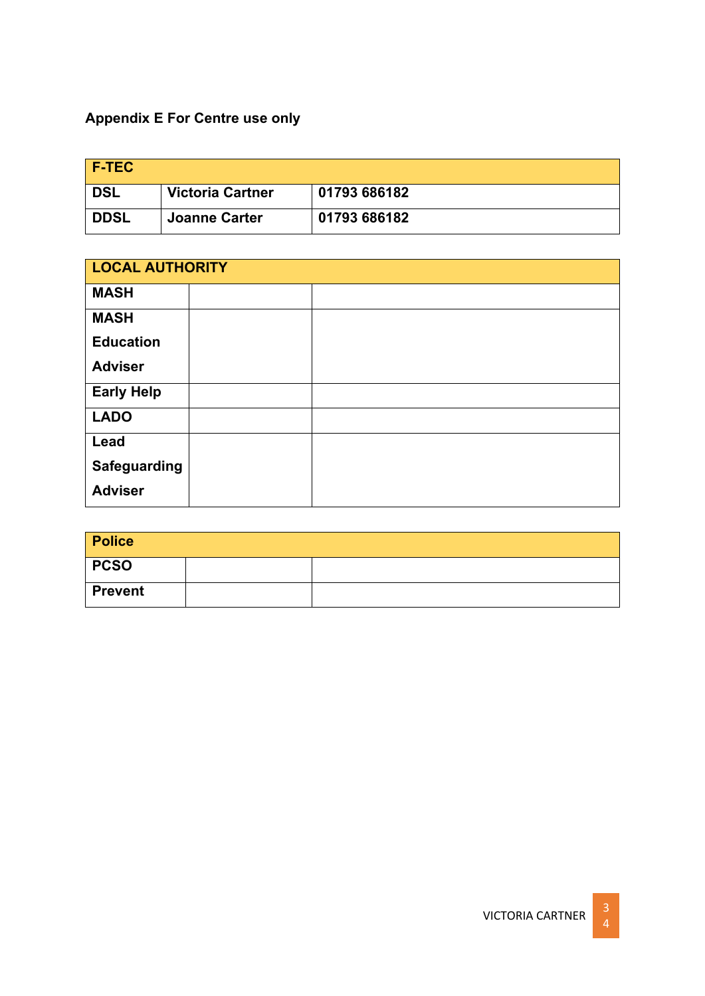## **Appendix E For Centre use only**

| <b>F-TEC</b> |                         |              |
|--------------|-------------------------|--------------|
| <b>DSL</b>   | <b>Victoria Cartner</b> | 01793 686182 |
| <b>DDSL</b>  | <b>Joanne Carter</b>    | 01793 686182 |

| <b>LOCAL AUTHORITY</b> |  |  |  |
|------------------------|--|--|--|
| <b>MASH</b>            |  |  |  |
| <b>MASH</b>            |  |  |  |
| <b>Education</b>       |  |  |  |
| <b>Adviser</b>         |  |  |  |
| <b>Early Help</b>      |  |  |  |
| <b>LADO</b>            |  |  |  |
| Lead                   |  |  |  |
| <b>Safeguarding</b>    |  |  |  |
| <b>Adviser</b>         |  |  |  |

| <b>Police</b>  |  |
|----------------|--|
| PCSO           |  |
| <b>Prevent</b> |  |